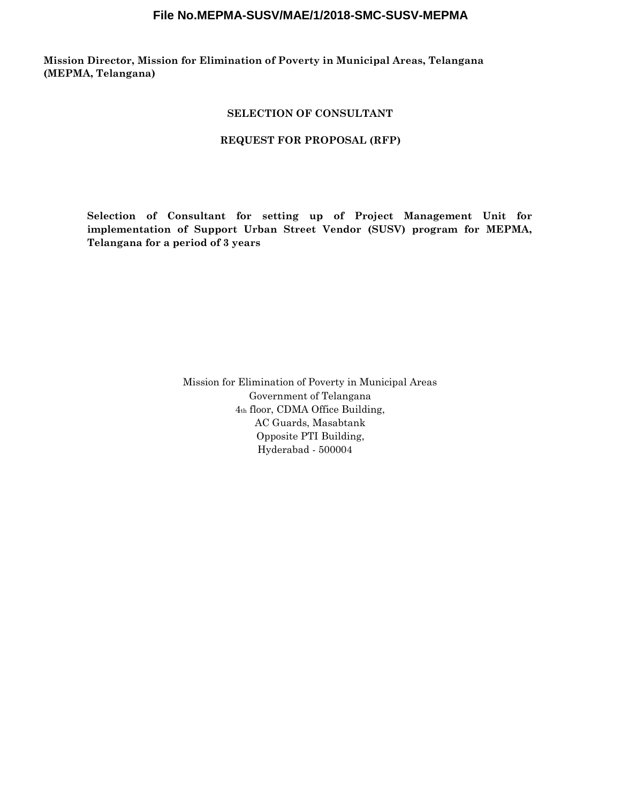**Mission Director, Mission for Elimination of Poverty in Municipal Areas, Telangana (MEPMA, Telangana)**

#### **SELECTION OF CONSULTANT**

#### **REQUEST FOR PROPOSAL (RFP)**

**Selection of Consultant for setting up of Project Management Unit for implementation of Support Urban Street Vendor (SUSV) program for MEPMA, Telangana for a period of 3 years**

> Mission for Elimination of Poverty in Municipal Areas Government of Telangana 4th floor, CDMA Office Building, AC Guards, Masabtank Opposite PTI Building, Hyderabad - 500004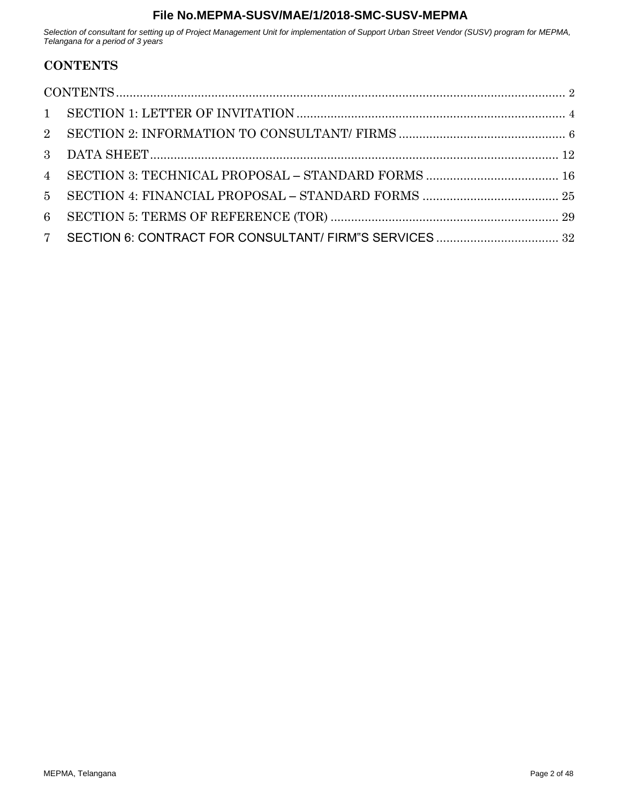<span id="page-1-0"></span>*Selection of consultant for setting up of Project Management Unit for implementation of Support Urban Street Vendor (SUSV) program for MEPMA, Telangana for a period of 3 years*

# **CONTENTS**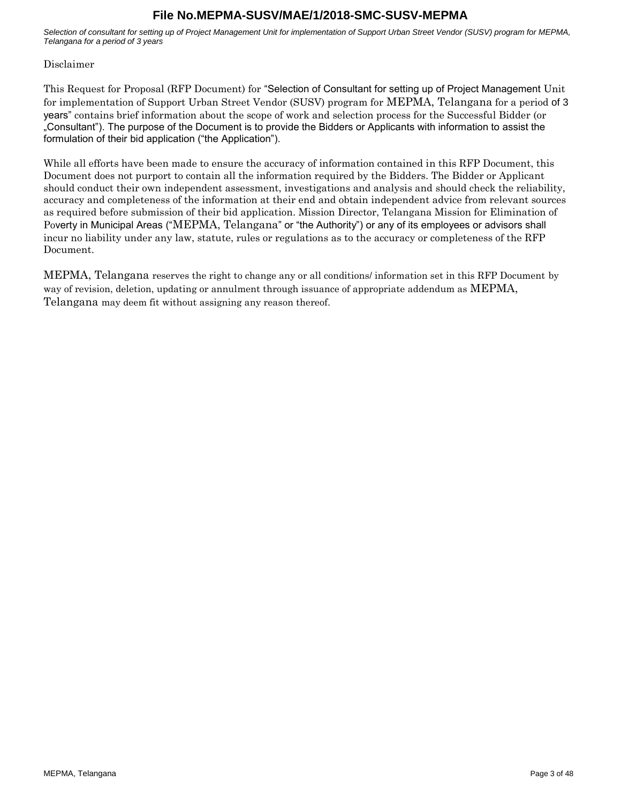*Selection of consultant for setting up of Project Management Unit for implementation of Support Urban Street Vendor (SUSV) program for MEPMA, Telangana for a period of 3 years*

#### Disclaimer

This Request for Proposal (RFP Document) for "Selection of Consultant for setting up of Project Management Unit for implementation of Support Urban Street Vendor (SUSV) program for MEPMA, Telangana for a period of 3 years" contains brief information about the scope of work and selection process for the Successful Bidder (or "Consultant"). The purpose of the Document is to provide the Bidders or Applicants with information to assist the formulation of their bid application ("the Application").

While all efforts have been made to ensure the accuracy of information contained in this RFP Document, this Document does not purport to contain all the information required by the Bidders. The Bidder or Applicant should conduct their own independent assessment, investigations and analysis and should check the reliability, accuracy and completeness of the information at their end and obtain independent advice from relevant sources as required before submission of their bid application. Mission Director, Telangana Mission for Elimination of Poverty in Municipal Areas ("MEPMA, Telangana" or "the Authority") or any of its employees or advisors shall incur no liability under any law, statute, rules or regulations as to the accuracy or completeness of the RFP Document.

MEPMA, Telangana reserves the right to change any or all conditions/ information set in this RFP Document by way of revision, deletion, updating or annulment through issuance of appropriate addendum as MEPMA, Telangana may deem fit without assigning any reason thereof.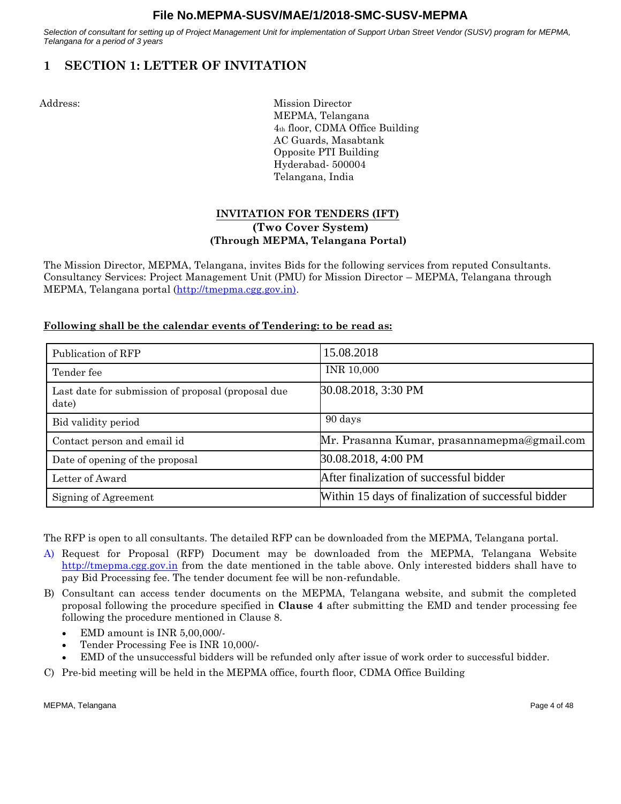<span id="page-3-0"></span>*Selection of consultant for setting up of Project Management Unit for implementation of Support Urban Street Vendor (SUSV) program for MEPMA, Telangana for a period of 3 years*

# **1 SECTION 1: LETTER OF INVITATION**

Address: Mission Director MEPMA, Telangana 4th floor, CDMA Office Building AC Guards, Masabtank Opposite PTI Building Hyderabad- 500004 Telangana, India

# **INVITATION FOR TENDERS (IFT) (Two Cover System) (Through MEPMA, Telangana Portal)**

The Mission Director, MEPMA, Telangana, invites Bids for the following services from reputed Consultants. Consultancy Services: Project Management Unit (PMU) for Mission Director – MEPMA, Telangana through MEPMA, Telangana portal [\(http://tmepma.cgg.gov.in\).](http://tmepma.cgg.gov.in)/)

# **Following shall be the calendar events of Tendering: to be read as:**

| Publication of RFP                                          | 15.08.2018                                          |
|-------------------------------------------------------------|-----------------------------------------------------|
| Tender fee                                                  | INR 10,000                                          |
| Last date for submission of proposal (proposal due<br>date) | 30.08.2018, 3:30 PM                                 |
| Bid validity period                                         | 90 days                                             |
| Contact person and email id                                 | Mr. Prasanna Kumar, prasannamepma@gmail.com         |
| Date of opening of the proposal                             | 30.08.2018, 4:00 PM                                 |
| Letter of Award                                             | After finalization of successful bidder             |
| Signing of Agreement                                        | Within 15 days of finalization of successful bidder |

The RFP is open to all consultants. The detailed RFP can be downloaded from the MEPMA, Telangana portal.

- A) Request for Proposal (RFP) Document may be downloaded from the MEPMA, Telangana Website [http://tmepma.cgg.gov.in](http://tmepma.cgg.gov.in/) from the date mentioned in the table above. Only interested bidders shall have to pay Bid Processing fee. The tender document fee will be non-refundable.
- B) Consultant can access tender documents on the MEPMA, Telangana website, and submit the completed proposal following the procedure specified in **Clause 4** after submitting the EMD and tender processing fee following the procedure mentioned in Clause 8.
	- EMD amount is INR 5,00,000/-
	- Tender Processing Fee is INR 10,000/-
	- EMD of the unsuccessful bidders will be refunded only after issue of work order to successful bidder.
- C) Pre-bid meeting will be held in the MEPMA office, fourth floor, CDMA Office Building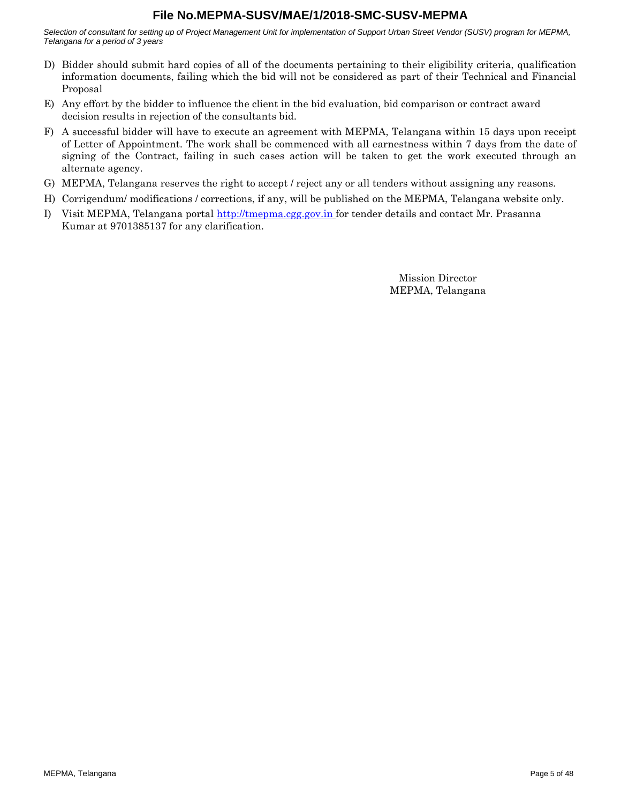*Selection of consultant for setting up of Project Management Unit for implementation of Support Urban Street Vendor (SUSV) program for MEPMA, Telangana for a period of 3 years*

- D) Bidder should submit hard copies of all of the documents pertaining to their eligibility criteria, qualification information documents, failing which the bid will not be considered as part of their Technical and Financial Proposal
- E) Any effort by the bidder to influence the client in the bid evaluation, bid comparison or contract award decision results in rejection of the consultants bid.
- F) A successful bidder will have to execute an agreement with MEPMA, Telangana within 15 days upon receipt of Letter of Appointment. The work shall be commenced with all earnestness within 7 days from the date of signing of the Contract, failing in such cases action will be taken to get the work executed through an alternate agency.
- G) MEPMA, Telangana reserves the right to accept / reject any or all tenders without assigning any reasons.
- H) Corrigendum/ modifications / corrections, if any, will be published on the MEPMA, Telangana website only.
- I) Visit MEPMA, Telangana portal [http://tmepma.cgg.gov.in](http://tmepma.cgg.gov.in/) for tender details and contact Mr. Prasanna Kumar at 9701385137 for any clarification.

Mission Director MEPMA, Telangana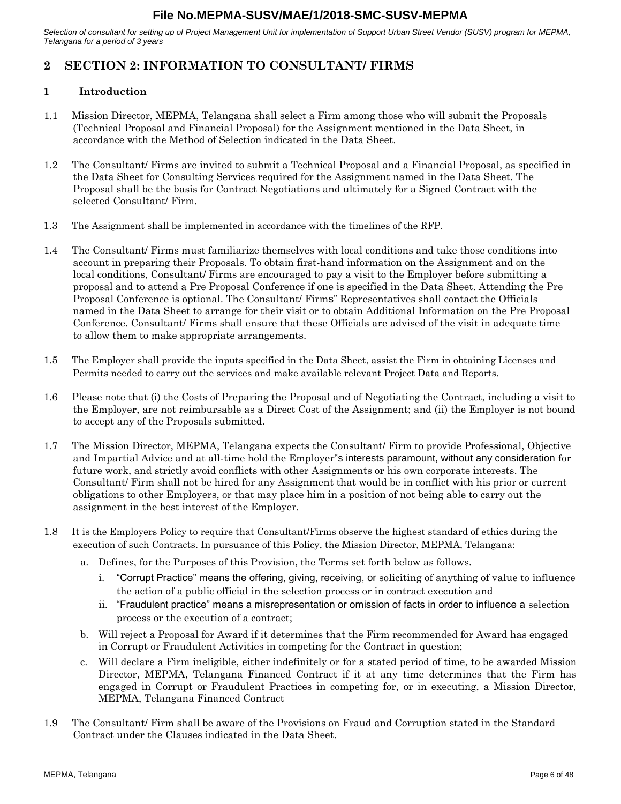<span id="page-5-0"></span>*Selection of consultant for setting up of Project Management Unit for implementation of Support Urban Street Vendor (SUSV) program for MEPMA, Telangana for a period of 3 years*

# **2 SECTION 2: INFORMATION TO CONSULTANT/ FIRMS**

# **1 Introduction**

- 1.1 Mission Director, MEPMA, Telangana shall select a Firm among those who will submit the Proposals (Technical Proposal and Financial Proposal) for the Assignment mentioned in the Data Sheet, in accordance with the Method of Selection indicated in the Data Sheet.
- 1.2 The Consultant/ Firms are invited to submit a Technical Proposal and a Financial Proposal, as specified in the Data Sheet for Consulting Services required for the Assignment named in the Data Sheet. The Proposal shall be the basis for Contract Negotiations and ultimately for a Signed Contract with the selected Consultant/ Firm.
- 1.3 The Assignment shall be implemented in accordance with the timelines of the RFP.
- 1.4 The Consultant/ Firms must familiarize themselves with local conditions and take those conditions into account in preparing their Proposals. To obtain first-hand information on the Assignment and on the local conditions, Consultant/ Firms are encouraged to pay a visit to the Employer before submitting a proposal and to attend a Pre Proposal Conference if one is specified in the Data Sheet. Attending the Pre Proposal Conference is optional. The Consultant/ Firms" Representatives shall contact the Officials named in the Data Sheet to arrange for their visit or to obtain Additional Information on the Pre Proposal Conference. Consultant/ Firms shall ensure that these Officials are advised of the visit in adequate time to allow them to make appropriate arrangements.
- 1.5 The Employer shall provide the inputs specified in the Data Sheet, assist the Firm in obtaining Licenses and Permits needed to carry out the services and make available relevant Project Data and Reports.
- 1.6 Please note that (i) the Costs of Preparing the Proposal and of Negotiating the Contract, including a visit to the Employer, are not reimbursable as a Direct Cost of the Assignment; and (ii) the Employer is not bound to accept any of the Proposals submitted.
- 1.7 The Mission Director, MEPMA, Telangana expects the Consultant/ Firm to provide Professional, Objective and Impartial Advice and at all-time hold the Employer"s interests paramount, without any consideration for future work, and strictly avoid conflicts with other Assignments or his own corporate interests. The Consultant/ Firm shall not be hired for any Assignment that would be in conflict with his prior or current obligations to other Employers, or that may place him in a position of not being able to carry out the assignment in the best interest of the Employer.
- 1.8 It is the Employers Policy to require that Consultant/Firms observe the highest standard of ethics during the execution of such Contracts. In pursuance of this Policy, the Mission Director, MEPMA, Telangana:
	- a. Defines, for the Purposes of this Provision, the Terms set forth below as follows.
		- i. "Corrupt Practice" means the offering, giving, receiving, or soliciting of anything of value to influence the action of a public official in the selection process or in contract execution and
		- ii. "Fraudulent practice" means a misrepresentation or omission of facts in order to influence a selection process or the execution of a contract;
	- b. Will reject a Proposal for Award if it determines that the Firm recommended for Award has engaged in Corrupt or Fraudulent Activities in competing for the Contract in question;
	- c. Will declare a Firm ineligible, either indefinitely or for a stated period of time, to be awarded Mission Director, MEPMA, Telangana Financed Contract if it at any time determines that the Firm has engaged in Corrupt or Fraudulent Practices in competing for, or in executing, a Mission Director, MEPMA, Telangana Financed Contract
- 1.9 The Consultant/ Firm shall be aware of the Provisions on Fraud and Corruption stated in the Standard Contract under the Clauses indicated in the Data Sheet.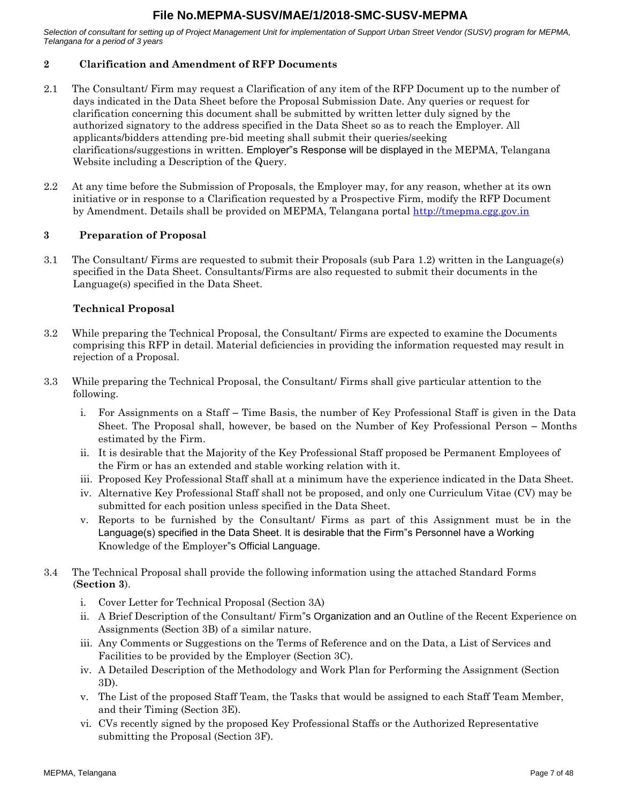*Selection of consultant for setting up of Project Management Unit for implementation of Support Urban Street Vendor (SUSV) program for MEPMA, Telangana for a period of 3 years*

# **2 Clarification and Amendment of RFP Documents**

- 2.1 The Consultant/ Firm may request a Clarification of any item of the RFP Document up to the number of days indicated in the Data Sheet before the Proposal Submission Date. Any queries or request for clarification concerning this document shall be submitted by written letter duly signed by the authorized signatory to the address specified in the Data Sheet so as to reach the Employer. All applicants/bidders attending pre-bid meeting shall submit their queries/seeking clarifications/suggestions in written. Employer"s Response will be displayed in the MEPMA, Telangana Website including a Description of the Query.
- 2.2 At any time before the Submission of Proposals, the Employer may, for any reason, whether at its own initiative or in response to a Clarification requested by a Prospective Firm, modify the RFP Document by Amendment. Details shall be provided on MEPMA, Telangana portal [http://tmepma.cgg.gov.in](http://tmepma.cgg.gov.in/)

#### **3 Preparation of Proposal**

3.1 The Consultant/ Firms are requested to submit their Proposals (sub Para [1.2\) w](#page-5-0)ritten in the Language(s) specified in the Data Sheet. Consultants/Firms are also requested to submit their documents in the Language(s) specified in the Data Sheet.

# **Technical Proposal**

- 3.2 While preparing the Technical Proposal, the Consultant/ Firms are expected to examine the Documents comprising this RFP in detail. Material deficiencies in providing the information requested may result in rejection of a Proposal.
- 3.3 While preparing the Technical Proposal, the Consultant/ Firms shall give particular attention to the following.
	- i. For Assignments on a Staff Time Basis, the number of Key Professional Staff is given in the Data Sheet. The Proposal shall, however, be based on the Number of Key Professional Person – Months estimated by the Firm.
	- ii. It is desirable that the Majority of the Key Professional Staff proposed be Permanent Employees of the Firm or has an extended and stable working relation with it.
	- iii. Proposed Key Professional Staff shall at a minimum have the experience indicated in the Data Sheet.
	- iv. Alternative Key Professional Staff shall not be proposed, and only one Curriculum Vitae (CV) may be submitted for each position unless specified in the Data Sheet.
	- v. Reports to be furnished by the Consultant/ Firms as part of this Assignment must be in the Language(s) specified in the Data Sheet. It is desirable that the Firm"s Personnel have a Working Knowledge of the Employer"s Official Language.
- 3.4 The Technical Proposal shall provide the following information using the attached Standard Forms (**Section 3**).
	- i. Cover Letter for Technical Proposal (Section 3A)
	- ii. A Brief Description of the Consultant/ Firm"s Organization and an Outline of the Recent Experience on Assignments (Section 3B) of a similar nature.
	- iii. Any Comments or Suggestions on the Terms of Reference and on the Data, a List of Services and Facilities to be provided by the Employer (Section 3C).
	- iv. A Detailed Description of the Methodology and Work Plan for Performing the Assignment (Section 3D).
	- v. The List of the proposed Staff Team, the Tasks that would be assigned to each Staff Team Member, and their Timing (Section 3E).
	- vi. CVs recently signed by the proposed Key Professional Staffs or the Authorized Representative submitting the Proposal (Section 3F).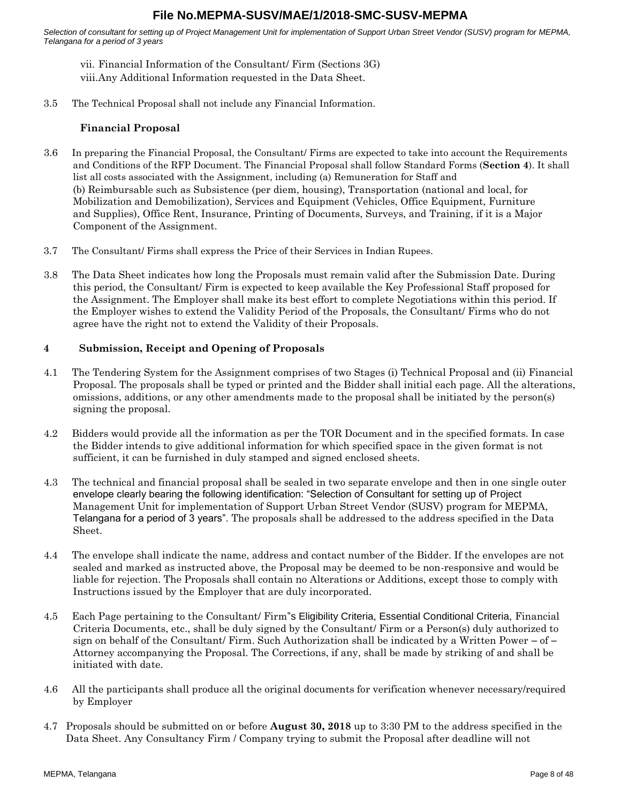*Selection of consultant for setting up of Project Management Unit for implementation of Support Urban Street Vendor (SUSV) program for MEPMA, Telangana for a period of 3 years*

vii. Financial Information of the Consultant/ Firm (Sections 3G) viii.Any Additional Information requested in the Data Sheet.

3.5 The Technical Proposal shall not include any Financial Information.

# **Financial Proposal**

- 3.6 In preparing the Financial Proposal, the Consultant/ Firms are expected to take into account the Requirements and Conditions of the RFP Document. The Financial Proposal shall follow Standard Forms (**Section 4**). It shall list all costs associated with the Assignment, including (a) Remuneration for Staff and (b) Reimbursable such as Subsistence (per diem, housing), Transportation (national and local, for Mobilization and Demobilization), Services and Equipment (Vehicles, Office Equipment, Furniture and Supplies), Office Rent, Insurance, Printing of Documents, Surveys, and Training, if it is a Major Component of the Assignment.
- 3.7 The Consultant/ Firms shall express the Price of their Services in Indian Rupees.
- 3.8 The Data Sheet indicates how long the Proposals must remain valid after the Submission Date. During this period, the Consultant/ Firm is expected to keep available the Key Professional Staff proposed for the Assignment. The Employer shall make its best effort to complete Negotiations within this period. If the Employer wishes to extend the Validity Period of the Proposals, the Consultant/ Firms who do not agree have the right not to extend the Validity of their Proposals.

#### **4 Submission, Receipt and Opening of Proposals**

- 4.1 The Tendering System for the Assignment comprises of two Stages (i) Technical Proposal and (ii) Financial Proposal. The proposals shall be typed or printed and the Bidder shall initial each page. All the alterations, omissions, additions, or any other amendments made to the proposal shall be initiated by the person(s) signing the proposal.
- 4.2 Bidders would provide all the information as per the TOR Document and in the specified formats. In case the Bidder intends to give additional information for which specified space in the given format is not sufficient, it can be furnished in duly stamped and signed enclosed sheets.
- 4.3 The technical and financial proposal shall be sealed in two separate envelope and then in one single outer envelope clearly bearing the following identification: "Selection of Consultant for setting up of Project Management Unit for implementation of Support Urban Street Vendor (SUSV) program for MEPMA, Telangana for a period of 3 years". The proposals shall be addressed to the address specified in the Data Sheet.
- 4.4 The envelope shall indicate the name, address and contact number of the Bidder. If the envelopes are not sealed and marked as instructed above, the Proposal may be deemed to be non-responsive and would be liable for rejection. The Proposals shall contain no Alterations or Additions, except those to comply with Instructions issued by the Employer that are duly incorporated.
- 4.5 Each Page pertaining to the Consultant/ Firm"s Eligibility Criteria, Essential Conditional Criteria, Financial Criteria Documents, etc., shall be duly signed by the Consultant/ Firm or a Person(s) duly authorized to sign on behalf of the Consultant/ Firm. Such Authorization shall be indicated by a Written Power – of – Attorney accompanying the Proposal. The Corrections, if any, shall be made by striking of and shall be initiated with date.
- 4.6 All the participants shall produce all the original documents for verification whenever necessary/required by Employer
- 4.7 Proposals should be submitted on or before **August 30, 2018** up to 3:30 PM to the address specified in the Data Sheet. Any Consultancy Firm / Company trying to submit the Proposal after deadline will not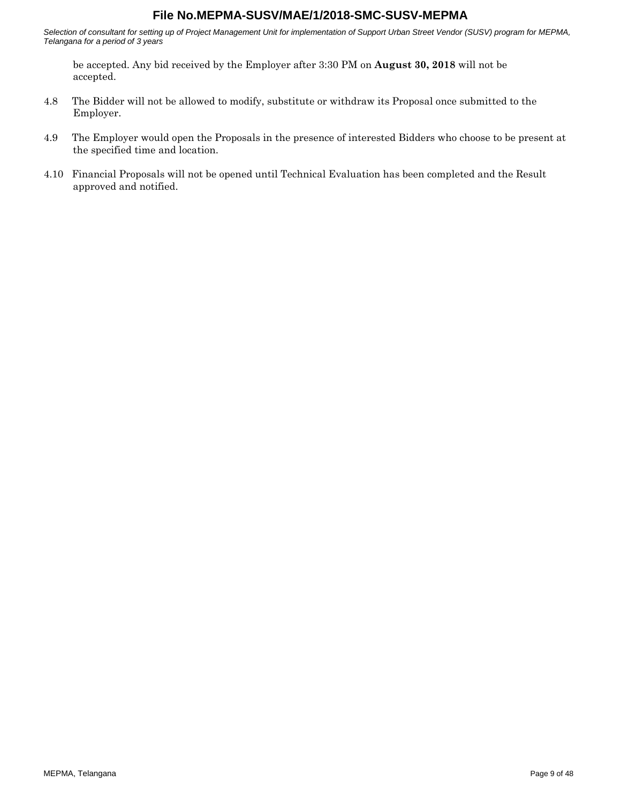*Selection of consultant for setting up of Project Management Unit for implementation of Support Urban Street Vendor (SUSV) program for MEPMA, Telangana for a period of 3 years*

be accepted. Any bid received by the Employer after 3:30 PM on **August 30, 2018** will not be accepted.

- 4.8 The Bidder will not be allowed to modify, substitute or withdraw its Proposal once submitted to the Employer.
- 4.9 The Employer would open the Proposals in the presence of interested Bidders who choose to be present at the specified time and location.
- 4.10 Financial Proposals will not be opened until Technical Evaluation has been completed and the Result approved and notified.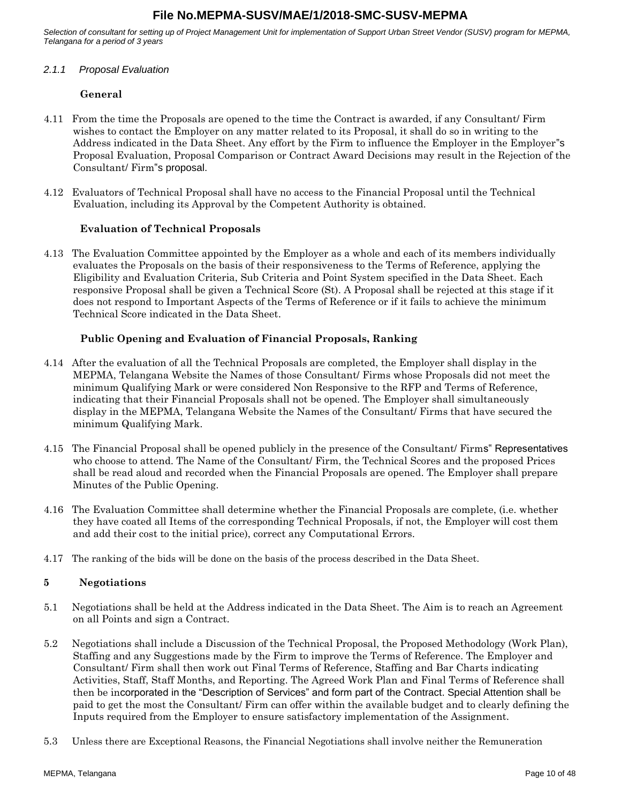<span id="page-9-0"></span>*Selection of consultant for setting up of Project Management Unit for implementation of Support Urban Street Vendor (SUSV) program for MEPMA, Telangana for a period of 3 years*

#### *2.1.1 Proposal Evaluation*

## **General**

- 4.11 From the time the Proposals are opened to the time the Contract is awarded, if any Consultant/ Firm wishes to contact the Employer on any matter related to its Proposal, it shall do so in writing to the Address indicated in the Data Sheet. Any effort by the Firm to influence the Employer in the Employer"s Proposal Evaluation, Proposal Comparison or Contract Award Decisions may result in the Rejection of the Consultant/ Firm"s proposal.
- 4.12 Evaluators of Technical Proposal shall have no access to the Financial Proposal until the Technical Evaluation, including its Approval by the Competent Authority is obtained.

#### **Evaluation of Technical Proposals**

4.13 The Evaluation Committee appointed by the Employer as a whole and each of its members individually evaluates the Proposals on the basis of their responsiveness to the Terms of Reference, applying the Eligibility and Evaluation Criteria, Sub Criteria and Point System specified in the Data Sheet. Each responsive Proposal shall be given a Technical Score (St). A Proposal shall be rejected at this stage if it does not respond to Important Aspects of the Terms of Reference or if it fails to achieve the minimum Technical Score indicated in the Data Sheet.

#### **Public Opening and Evaluation of Financial Proposals, Ranking**

- 4.14 After the evaluation of all the Technical Proposals are completed, the Employer shall display in the MEPMA, Telangana Website the Names of those Consultant/ Firms whose Proposals did not meet the minimum Qualifying Mark or were considered Non Responsive to the RFP and Terms of Reference, indicating that their Financial Proposals shall not be opened. The Employer shall simultaneously display in the MEPMA, Telangana Website the Names of the Consultant/ Firms that have secured the minimum Qualifying Mark.
- 4.15 The Financial Proposal shall be opened publicly in the presence of the Consultant/ Firms" Representatives who choose to attend. The Name of the Consultant/ Firm, the Technical Scores and the proposed Prices shall be read aloud and recorded when the Financial Proposals are opened. The Employer shall prepare Minutes of the Public Opening.
- 4.16 The Evaluation Committee shall determine whether the Financial Proposals are complete, (i.e. whether they have coated all Items of the corresponding Technical Proposals, if not, the Employer will cost them and add their cost to the initial price), correct any Computational Errors.
- 4.17 The ranking of the bids will be done on the basis of the process described in the Data Sheet.

#### **5 Negotiations**

- 5.1 Negotiations shall be held at the Address indicated in the Data Sheet. The Aim is to reach an Agreement on all Points and sign a Contract.
- 5.2 Negotiations shall include a Discussion of the Technical Proposal, the Proposed Methodology (Work Plan), Staffing and any Suggestions made by the Firm to improve the Terms of Reference. The Employer and Consultant/ Firm shall then work out Final Terms of Reference, Staffing and Bar Charts indicating Activities, Staff, Staff Months, and Reporting. The Agreed Work Plan and Final Terms of Reference shall then be incorporated in the "Description of Services" and form part of the Contract. Special Attention shall be paid to get the most the Consultant/ Firm can offer within the available budget and to clearly defining the Inputs required from the Employer to ensure satisfactory implementation of the Assignment.
- 5.3 Unless there are Exceptional Reasons, the Financial Negotiations shall involve neither the Remuneration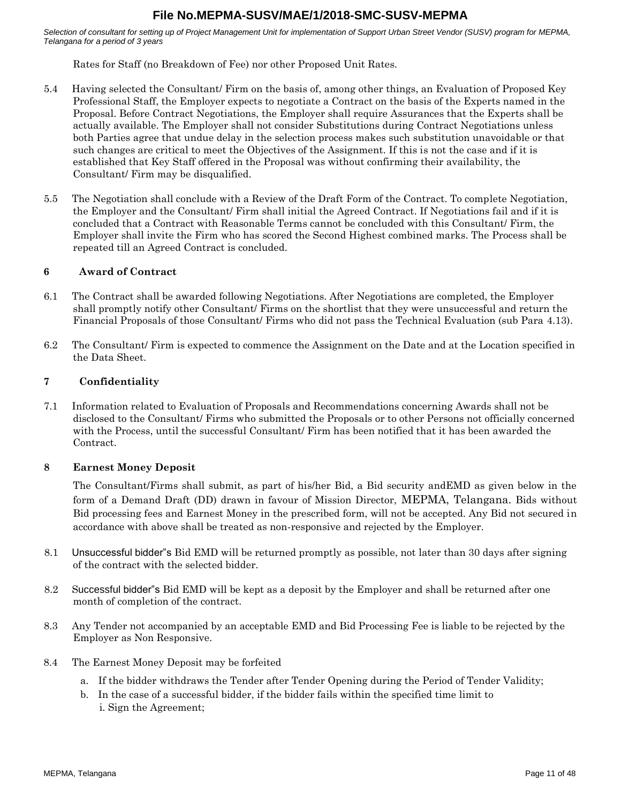*Selection of consultant for setting up of Project Management Unit for implementation of Support Urban Street Vendor (SUSV) program for MEPMA, Telangana for a period of 3 years*

Rates for Staff (no Breakdown of Fee) nor other Proposed Unit Rates.

- 5.4 Having selected the Consultant/ Firm on the basis of, among other things, an Evaluation of Proposed Key Professional Staff, the Employer expects to negotiate a Contract on the basis of the Experts named in the Proposal. Before Contract Negotiations, the Employer shall require Assurances that the Experts shall be actually available. The Employer shall not consider Substitutions during Contract Negotiations unless both Parties agree that undue delay in the selection process makes such substitution unavoidable or that such changes are critical to meet the Objectives of the Assignment. If this is not the case and if it is established that Key Staff offered in the Proposal was without confirming their availability, the Consultant/ Firm may be disqualified.
- 5.5 The Negotiation shall conclude with a Review of the Draft Form of the Contract. To complete Negotiation, the Employer and the Consultant/ Firm shall initial the Agreed Contract. If Negotiations fail and if it is concluded that a Contract with Reasonable Terms cannot be concluded with this Consultant/ Firm, the Employer shall invite the Firm who has scored the Second Highest combined marks. The Process shall be repeated till an Agreed Contract is concluded.

#### **6 Award of Contract**

- 6.1 The Contract shall be awarded following Negotiations. After Negotiations are completed, the Employer shall promptly notify other Consultant/ Firms on the shortlist that they were unsuccessful and return the Financial Proposals of those Consultant/ Firms who did not pass the Technical Evaluation (sub Para [4.13\).](#page-9-0)
- 6.2 The Consultant/ Firm is expected to commence the Assignment on the Date and at the Location specified in the Data Sheet.

#### **7 Confidentiality**

7.1 Information related to Evaluation of Proposals and Recommendations concerning Awards shall not be disclosed to the Consultant/ Firms who submitted the Proposals or to other Persons not officially concerned with the Process, until the successful Consultant/ Firm has been notified that it has been awarded the Contract.

#### **8 Earnest Money Deposit**

The Consultant/Firms shall submit, as part of his/her Bid, a Bid security andEMD as given below in the form of a Demand Draft (DD) drawn in favour of Mission Director, MEPMA, Telangana. Bids without Bid processing fees and Earnest Money in the prescribed form, will not be accepted. Any Bid not secured in accordance with above shall be treated as non-responsive and rejected by the Employer.

- 8.1 Unsuccessful bidder"s Bid EMD will be returned promptly as possible, not later than 30 days after signing of the contract with the selected bidder.
- 8.2 Successful bidder"s Bid EMD will be kept as a deposit by the Employer and shall be returned after one month of completion of the contract.
- 8.3 Any Tender not accompanied by an acceptable EMD and Bid Processing Fee is liable to be rejected by the Employer as Non Responsive.
- 8.4 The Earnest Money Deposit may be forfeited
	- a. If the bidder withdraws the Tender after Tender Opening during the Period of Tender Validity;
	- b. In the case of a successful bidder, if the bidder fails within the specified time limit to i. Sign the Agreement;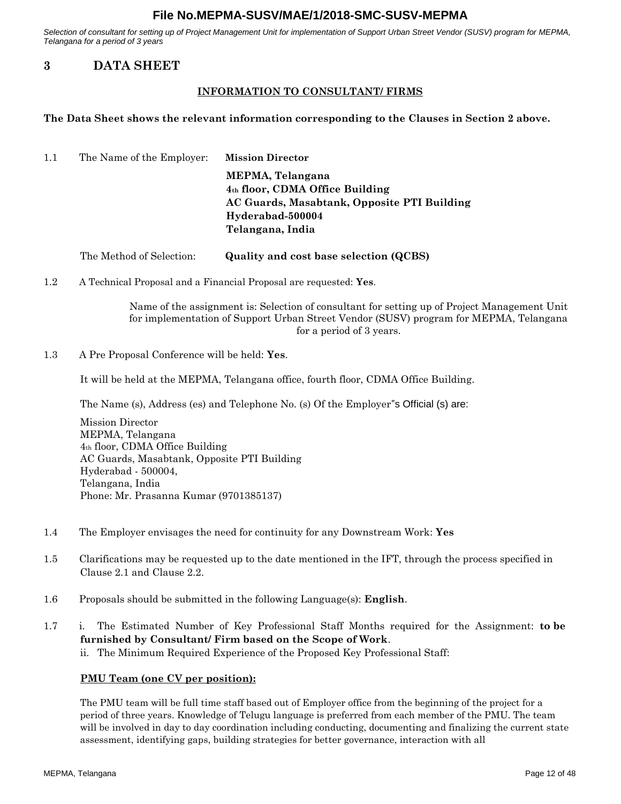<span id="page-11-0"></span>*Selection of consultant for setting up of Project Management Unit for implementation of Support Urban Street Vendor (SUSV) program for MEPMA, Telangana for a period of 3 years*

# **3 DATA SHEET**

## **INFORMATION TO CONSULTANT/ FIRMS**

#### **The Data Sheet shows the relevant information corresponding to the Clauses in Section 2 above.**

- 1.1 The Name of the Employer: **Mission Director MEPMA, Telangana 4th floor, CDMA Office Building AC Guards, Masabtank, Opposite PTI Building Hyderabad-500004 Telangana, India**
	- The Method of Selection: **Quality and cost base selection (QCBS)**
- 1.2 A Technical Proposal and a Financial Proposal are requested: **Yes**.

Name of the assignment is: Selection of consultant for setting up of Project Management Unit for implementation of Support Urban Street Vendor (SUSV) program for MEPMA, Telangana for a period of 3 years.

1.3 A Pre Proposal Conference will be held: **Yes**.

It will be held at the MEPMA, Telangana office, fourth floor, CDMA Office Building.

The Name (s), Address (es) and Telephone No. (s) Of the Employer"s Official (s) are:

Mission Director MEPMA, Telangana 4th floor, CDMA Office Building AC Guards, Masabtank, Opposite PTI Building Hyderabad - 500004, Telangana, India Phone: Mr. Prasanna Kumar (9701385137)

- 1.4 The Employer envisages the need for continuity for any Downstream Work: **Yes**
- 1.5 Clarifications may be requested up to the date mentioned in the IFT, through the process specified in Clause 2.1 and Clause 2.2.
- 1.6 Proposals should be submitted in the following Language(s): **English**.
- 1.7 i. The Estimated Number of Key Professional Staff Months required for the Assignment: **to be furnished by Consultant/ Firm based on the Scope of Work**. ii. The Minimum Required Experience of the Proposed Key Professional Staff:

#### **PMU Team (one CV per position):**

The PMU team will be full time staff based out of Employer office from the beginning of the project for a period of three years. Knowledge of Telugu language is preferred from each member of the PMU. The team will be involved in day to day coordination including conducting, documenting and finalizing the current state assessment, identifying gaps, building strategies for better governance, interaction with all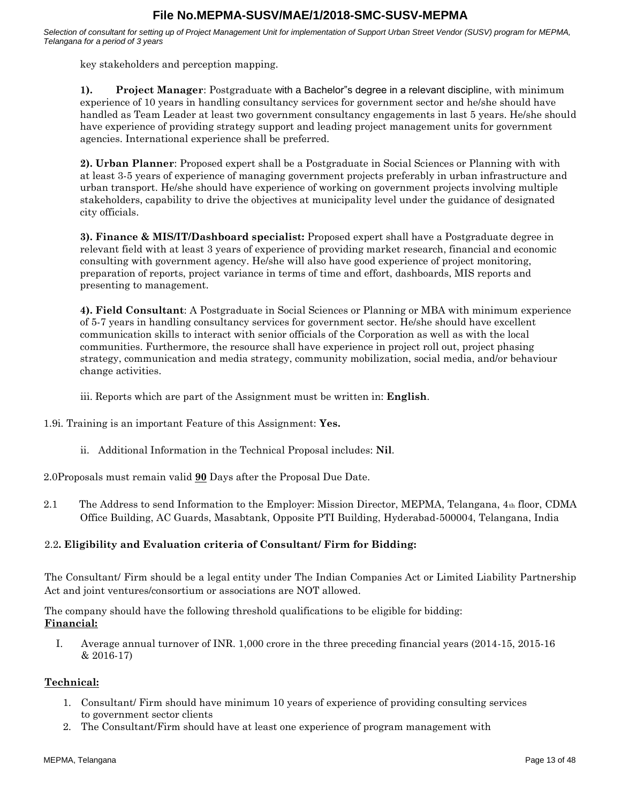*Selection of consultant for setting up of Project Management Unit for implementation of Support Urban Street Vendor (SUSV) program for MEPMA, Telangana for a period of 3 years*

key stakeholders and perception mapping.

**1). Project Manager**: Postgraduate with a Bachelor"s degree in a relevant discipline, with minimum experience of 10 years in handling consultancy services for government sector and he/she should have handled as Team Leader at least two government consultancy engagements in last 5 years. He/she should have experience of providing strategy support and leading project management units for government agencies. International experience shall be preferred.

**2). Urban Planner**: Proposed expert shall be a Postgraduate in Social Sciences or Planning with with at least 3-5 years of experience of managing government projects preferably in urban infrastructure and urban transport. He/she should have experience of working on government projects involving multiple stakeholders, capability to drive the objectives at municipality level under the guidance of designated city officials.

**3). Finance & MIS/IT/Dashboard specialist:** Proposed expert shall have a Postgraduate degree in relevant field with at least 3 years of experience of providing market research, financial and economic consulting with government agency. He/she will also have good experience of project monitoring, preparation of reports, project variance in terms of time and effort, dashboards, MIS reports and presenting to management.

**4). Field Consultant**: A Postgraduate in Social Sciences or Planning or MBA with minimum experience of 5-7 years in handling consultancy services for government sector. He/she should have excellent communication skills to interact with senior officials of the Corporation as well as with the local communities. Furthermore, the resource shall have experience in project roll out, project phasing strategy, communication and media strategy, community mobilization, social media, and/or behaviour change activities.

iii. Reports which are part of the Assignment must be written in: **English**.

1.9i. Training is an important Feature of this Assignment: **Yes.**

ii. Additional Information in the Technical Proposal includes: **Nil**.

2.0Proposals must remain valid **90** Days after the Proposal Due Date.

2.1 The Address to send Information to the Employer: Mission Director, MEPMA, Telangana,  $4<sub>th</sub>$  floor, CDMA Office Building, AC Guards, Masabtank, Opposite PTI Building, Hyderabad-500004, Telangana, India

#### 2.2**. Eligibility and Evaluation criteria of Consultant/ Firm for Bidding:**

The Consultant/ Firm should be a legal entity under The Indian Companies Act or Limited Liability Partnership Act and joint ventures/consortium or associations are NOT allowed.

The company should have the following threshold qualifications to be eligible for bidding: **Financial:**

I. Average annual turnover of INR. 1,000 crore in the three preceding financial years (2014-15, 2015-16 & 2016-17)

#### **Technical:**

- 1. Consultant/ Firm should have minimum 10 years of experience of providing consulting services to government sector clients
- 2. The Consultant/Firm should have at least one experience of program management with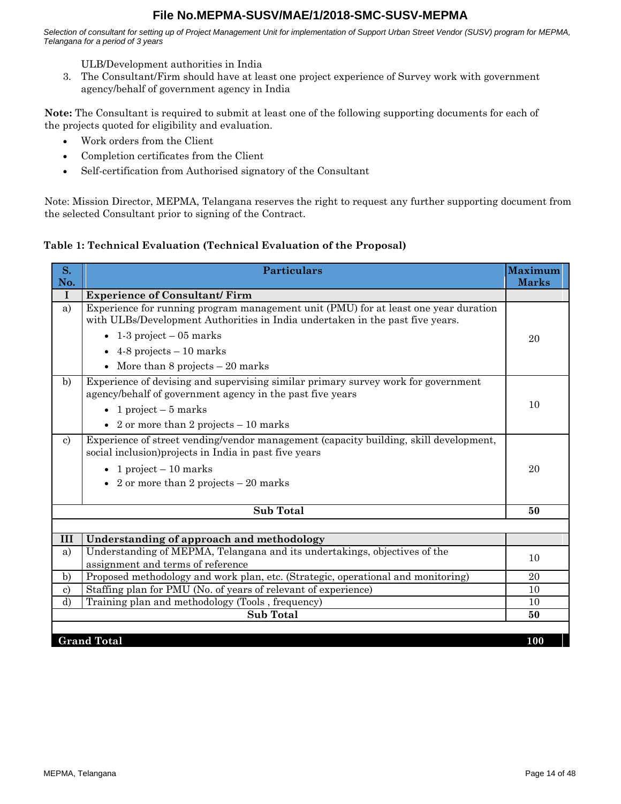*Selection of consultant for setting up of Project Management Unit for implementation of Support Urban Street Vendor (SUSV) program for MEPMA, Telangana for a period of 3 years*

ULB/Development authorities in India

3. The Consultant/Firm should have at least one project experience of Survey work with government agency/behalf of government agency in India

**Note:** The Consultant is required to submit at least one of the following supporting documents for each of the projects quoted for eligibility and evaluation.

- Work orders from the Client
- Completion certificates from the Client
- Self-certification from Authorised signatory of the Consultant

Note: Mission Director, MEPMA, Telangana reserves the right to request any further supporting document from the selected Consultant prior to signing of the Contract.

# **Table 1: Technical Evaluation (Technical Evaluation of the Proposal)**

| S.            | <b>Particulars</b>                                                                                                                                                   | <b>Maximum</b> |
|---------------|----------------------------------------------------------------------------------------------------------------------------------------------------------------------|----------------|
| No.           |                                                                                                                                                                      | <b>Marks</b>   |
| I             | <b>Experience of Consultant/Firm</b>                                                                                                                                 |                |
| a)            | Experience for running program management unit (PMU) for at least one year duration<br>with ULBs/Development Authorities in India undertaken in the past five years. |                |
|               | $\bullet$ 1-3 project – 05 marks                                                                                                                                     | 20             |
|               | $\bullet$ 4-8 projects – 10 marks                                                                                                                                    |                |
|               | More than 8 projects $-20$ marks<br>$\bullet$                                                                                                                        |                |
| b)            | Experience of devising and supervising similar primary survey work for government<br>agency/behalf of government agency in the past five years                       |                |
|               | • 1 project $-5$ marks                                                                                                                                               | 10             |
|               | • 2 or more than 2 projects $-10$ marks                                                                                                                              |                |
| $\mathbf{c}$  | Experience of street vending/vendor management (capacity building, skill development,<br>social inclusion) projects in India in past five years                      |                |
|               | • 1 project $-10$ marks                                                                                                                                              | 20             |
|               | • 2 or more than 2 projects $-20$ marks                                                                                                                              |                |
|               | <b>Sub Total</b>                                                                                                                                                     | 50             |
|               |                                                                                                                                                                      |                |
| III           | Understanding of approach and methodology                                                                                                                            |                |
| a)            | Understanding of MEPMA, Telangana and its undertakings, objectives of the<br>assignment and terms of reference                                                       | 10             |
| $\mathbf{b}$  | Proposed methodology and work plan, etc. (Strategic, operational and monitoring)                                                                                     | 20             |
| $\mathbf{c})$ | Staffing plan for PMU (No. of years of relevant of experience)                                                                                                       | 10             |
| d)            | Training plan and methodology (Tools, frequency)                                                                                                                     | 10             |
|               | <b>Sub Total</b>                                                                                                                                                     | 50             |
|               |                                                                                                                                                                      |                |
|               | <b>Grand Total</b>                                                                                                                                                   | 100            |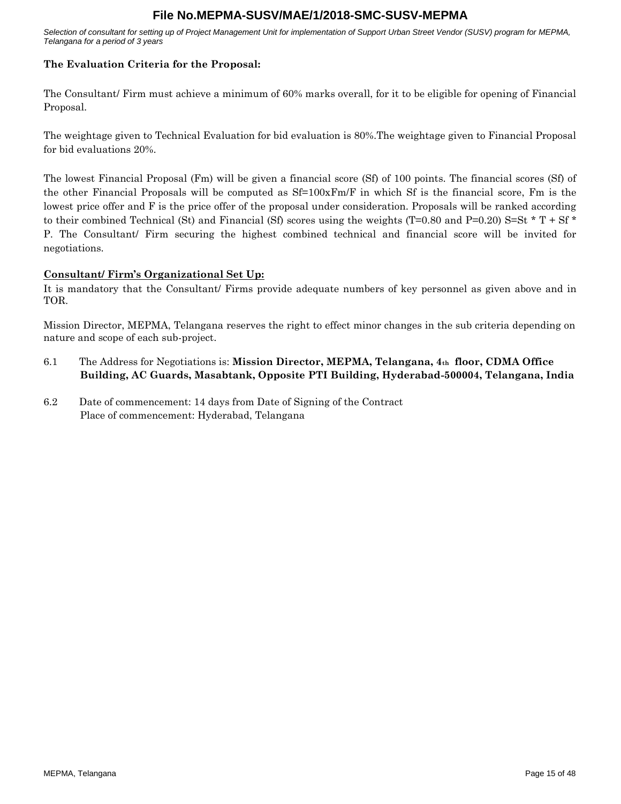*Selection of consultant for setting up of Project Management Unit for implementation of Support Urban Street Vendor (SUSV) program for MEPMA, Telangana for a period of 3 years*

## **The Evaluation Criteria for the Proposal:**

The Consultant/ Firm must achieve a minimum of 60% marks overall, for it to be eligible for opening of Financial Proposal.

The weightage given to Technical Evaluation for bid evaluation is 80%.The weightage given to Financial Proposal for bid evaluations 20%.

The lowest Financial Proposal (Fm) will be given a financial score (Sf) of 100 points. The financial scores (Sf) of the other Financial Proposals will be computed as  $Sf=100xFm/F$  in which Sf is the financial score, Fm is the lowest price offer and F is the price offer of the proposal under consideration. Proposals will be ranked according to their combined Technical (St) and Financial (Sf) scores using the weights (T=0.80 and P=0.20) S=St  $*$  T + Sf  $*$ P. The Consultant/ Firm securing the highest combined technical and financial score will be invited for negotiations.

#### **Consultant/ Firm's Organizational Set Up:**

It is mandatory that the Consultant/ Firms provide adequate numbers of key personnel as given above and in TOR.

Mission Director, MEPMA, Telangana reserves the right to effect minor changes in the sub criteria depending on nature and scope of each sub-project.

- 6.1 The Address for Negotiations is: **Mission Director, MEPMA, Telangana, 4th floor, CDMA Office Building, AC Guards, Masabtank, Opposite PTI Building, Hyderabad-500004, Telangana, India**
- 6.2 Date of commencement: 14 days from Date of Signing of the Contract Place of commencement: Hyderabad, Telangana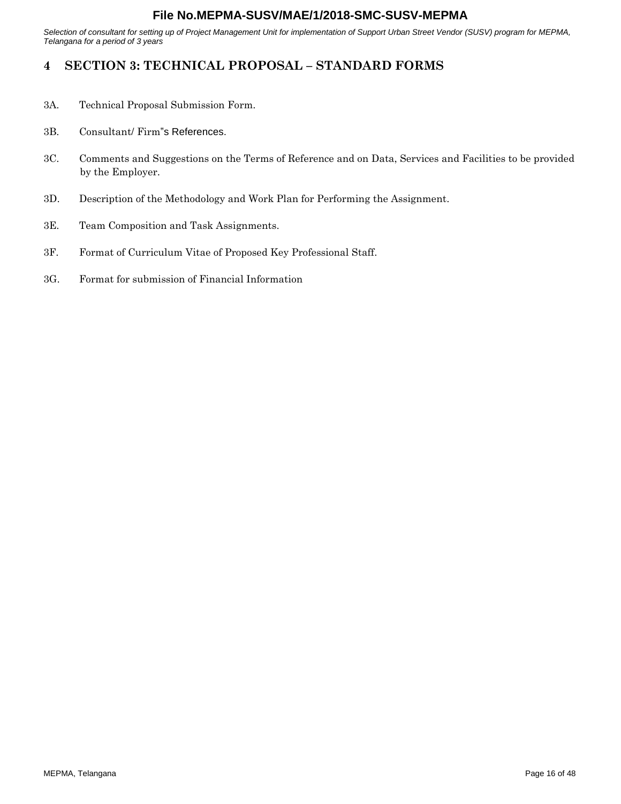<span id="page-15-0"></span>*Selection of consultant for setting up of Project Management Unit for implementation of Support Urban Street Vendor (SUSV) program for MEPMA, Telangana for a period of 3 years*

# **4 SECTION 3: TECHNICAL PROPOSAL – STANDARD FORMS**

- 3A. Technical Proposal Submission Form.
- 3B. Consultant/ Firm"s References.
- 3C. Comments and Suggestions on the Terms of Reference and on Data, Services and Facilities to be provided by the Employer.
- 3D. Description of the Methodology and Work Plan for Performing the Assignment.
- 3E. Team Composition and Task Assignments.
- 3F. Format of Curriculum Vitae of Proposed Key Professional Staff.
- 3G. Format for submission of Financial Information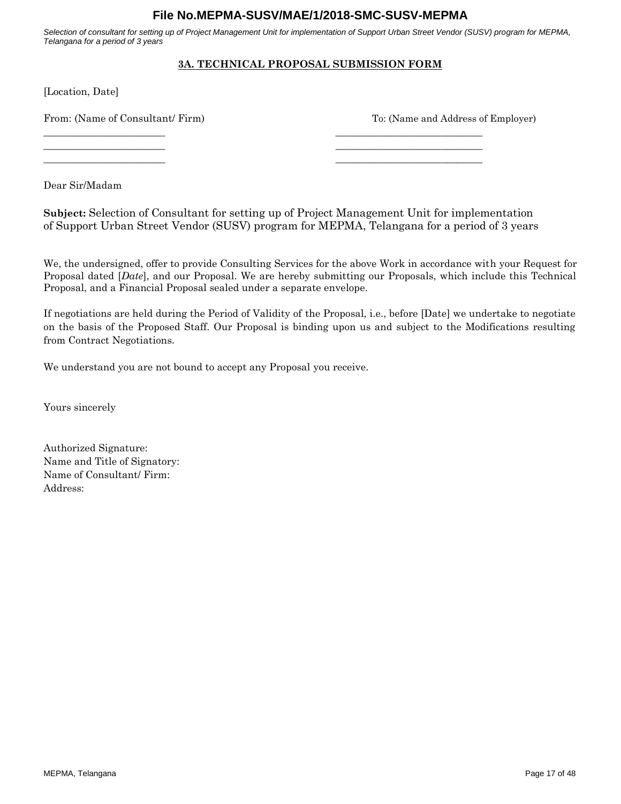*Selection of consultant for setting up of Project Management Unit for implementation of Support Urban Street Vendor (SUSV) program for MEPMA, Telangana for a period of 3 years*

# **3A. TECHNICAL PROPOSAL SUBMISSION FORM**

[Location, Date]

From: (Name of Consultant/ Firm) To: (Name and Address of Employer)

\_\_\_\_\_\_\_\_\_\_\_\_\_\_\_\_\_\_\_\_\_\_\_\_ \_\_\_\_\_\_\_\_\_\_\_\_\_\_\_\_\_\_\_\_\_\_\_\_\_\_\_\_\_ \_\_\_\_\_\_\_\_\_\_\_\_\_\_\_\_\_\_\_\_\_\_\_\_ \_\_\_\_\_\_\_\_\_\_\_\_\_\_\_\_\_\_\_\_\_\_\_\_\_\_\_\_\_

Dear Sir/Madam

**Subject:** Selection of Consultant for setting up of Project Management Unit for implementation of Support Urban Street Vendor (SUSV) program for MEPMA, Telangana for a period of 3 years

\_\_\_\_\_\_\_\_\_\_\_\_\_\_\_\_\_\_\_\_\_\_\_\_ \_\_\_\_\_\_\_\_\_\_\_\_\_\_\_\_\_\_\_\_\_\_\_\_\_\_\_\_\_

We, the undersigned, offer to provide Consulting Services for the above Work in accordance with your Request for Proposal dated [*Date*], and our Proposal. We are hereby submitting our Proposals, which include this Technical Proposal, and a Financial Proposal sealed under a separate envelope.

If negotiations are held during the Period of Validity of the Proposal, i.e., before [Date] we undertake to negotiate on the basis of the Proposed Staff. Our Proposal is binding upon us and subject to the Modifications resulting from Contract Negotiations.

We understand you are not bound to accept any Proposal you receive.

Yours sincerely

Authorized Signature: Name and Title of Signatory: Name of Consultant/ Firm: Address: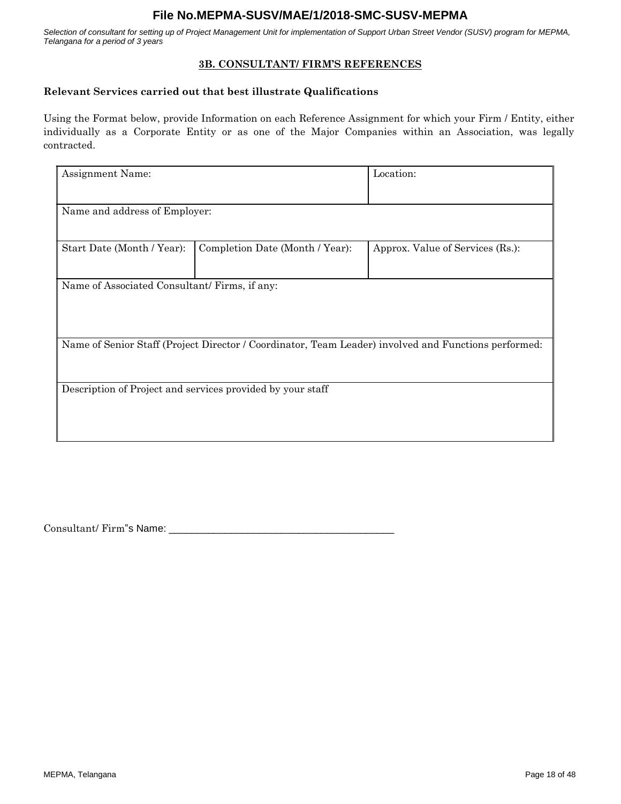*Selection of consultant for setting up of Project Management Unit for implementation of Support Urban Street Vendor (SUSV) program for MEPMA, Telangana for a period of 3 years*

#### **3B. CONSULTANT/ FIRM'S REFERENCES**

#### **Relevant Services carried out that best illustrate Qualifications**

Using the Format below, provide Information on each Reference Assignment for which your Firm / Entity, either individually as a Corporate Entity or as one of the Major Companies within an Association, was legally contracted.

| Assignment Name:                                                                                     | Location:                       |                                  |  |  |
|------------------------------------------------------------------------------------------------------|---------------------------------|----------------------------------|--|--|
| Name and address of Employer:                                                                        |                                 |                                  |  |  |
| Start Date (Month / Year):                                                                           | Completion Date (Month / Year): | Approx. Value of Services (Rs.): |  |  |
| Name of Associated Consultant/Firms, if any:                                                         |                                 |                                  |  |  |
| Name of Senior Staff (Project Director / Coordinator, Team Leader) involved and Functions performed: |                                 |                                  |  |  |
| Description of Project and services provided by your staff                                           |                                 |                                  |  |  |

Consultant/ Firm"s Name: \_\_\_\_\_\_\_\_\_\_\_\_\_\_\_\_\_\_\_\_\_\_\_\_\_\_\_\_\_\_\_\_\_\_\_\_\_\_\_\_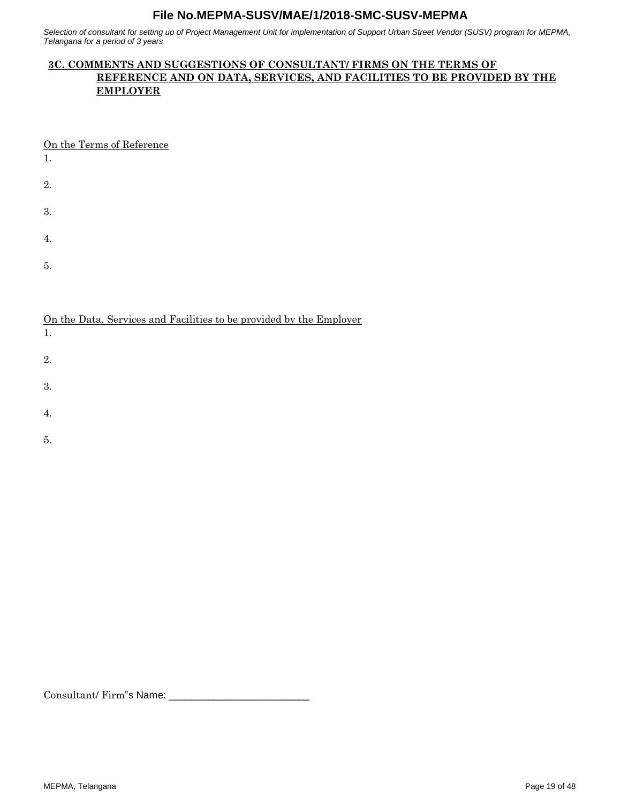*Selection of consultant for setting up of Project Management Unit for implementation of Support Urban Street Vendor (SUSV) program for MEPMA, Telangana for a period of 3 years*

# **3C. COMMENTS AND SUGGESTIONS OF CONSULTANT/ FIRMS ON THE TERMS OF REFERENCE AND ON DATA, SERVICES, AND FACILITIES TO BE PROVIDED BY THE EMPLOYER**

On the Terms of Reference

1.

2.

3.

4.

5.

On the Data, Services and Facilities to be provided by the Employer

1.

2.

3.

4.

5.

Consultant/ Firm"s Name: \_\_\_\_\_\_\_\_\_\_\_\_\_\_\_\_\_\_\_\_\_\_\_\_\_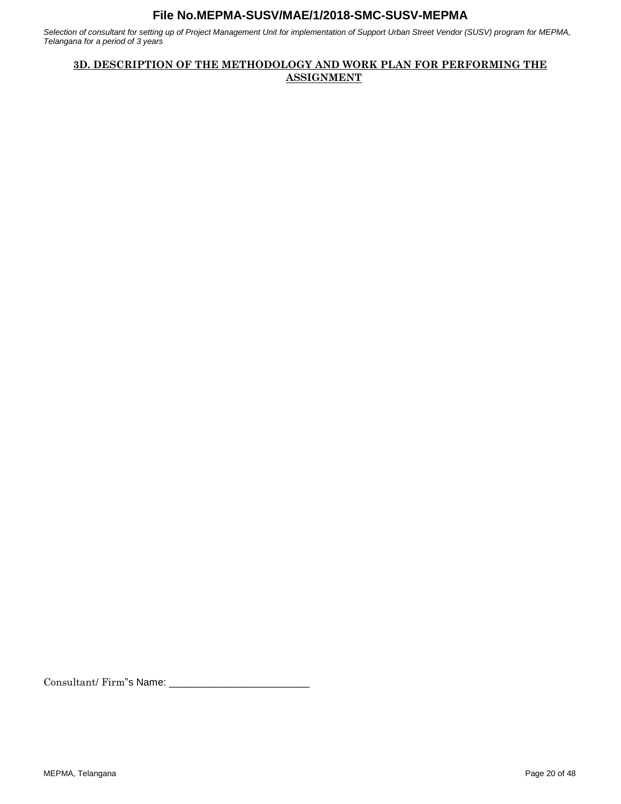*Selection of consultant for setting up of Project Management Unit for implementation of Support Urban Street Vendor (SUSV) program for MEPMA, Telangana for a period of 3 years*

# **3D. DESCRIPTION OF THE METHODOLOGY AND WORK PLAN FOR PERFORMING THE ASSIGNMENT**

Consultant/ Firm"s Name: \_\_\_\_\_\_\_\_\_\_\_\_\_\_\_\_\_\_\_\_\_\_\_\_\_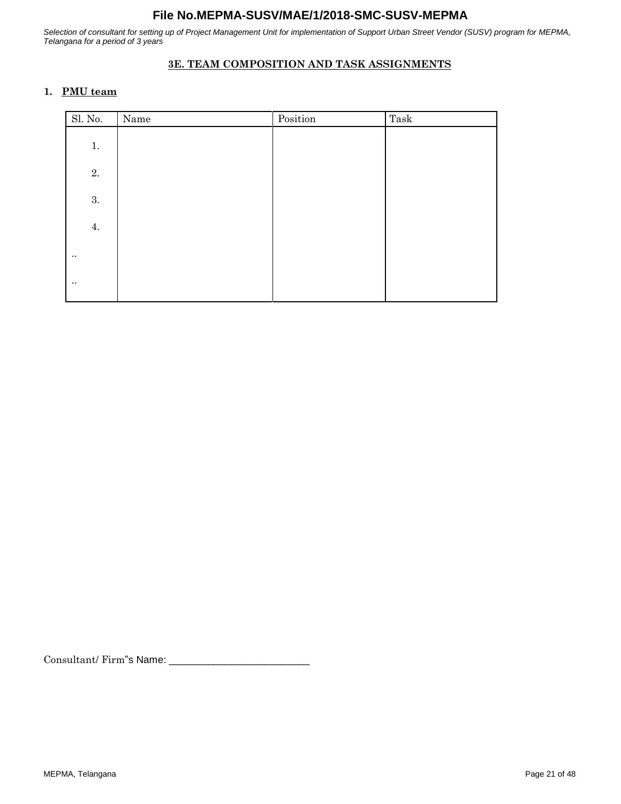*Selection of consultant for setting up of Project Management Unit for implementation of Support Urban Street Vendor (SUSV) program for MEPMA, Telangana for a period of 3 years*

# **3E. TEAM COMPOSITION AND TASK ASSIGNMENTS**

#### **1. PMU team**

| Sl. No.     | Name | Position | ${\rm Task}$ |
|-------------|------|----------|--------------|
| 1.          |      |          |              |
| $2. \,$     |      |          |              |
| 3.          |      |          |              |
| 4.          |      |          |              |
| $\ddotsc$   |      |          |              |
| $\bullet$ . |      |          |              |

Consultant/ Firm"s Name: \_\_\_\_\_\_\_\_\_\_\_\_\_\_\_\_\_\_\_\_\_\_\_\_\_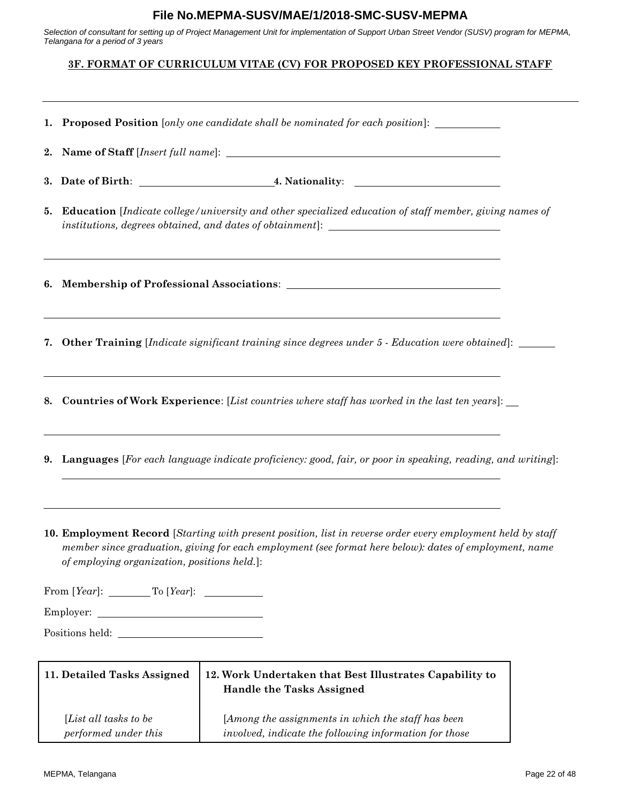*Selection of consultant for setting up of Project Management Unit for implementation of Support Urban Street Vendor (SUSV) program for MEPMA, Telangana for a period of 3 years*

# **3F. FORMAT OF CURRICULUM VITAE (CV) FOR PROPOSED KEY PROFESSIONAL STAFF**

|    | 1. Proposed Position [only one candidate shall be nominated for each position]:                                                                                                                     |                                                                                                                                                                                                                       |  |  |  |  |
|----|-----------------------------------------------------------------------------------------------------------------------------------------------------------------------------------------------------|-----------------------------------------------------------------------------------------------------------------------------------------------------------------------------------------------------------------------|--|--|--|--|
| 2. |                                                                                                                                                                                                     |                                                                                                                                                                                                                       |  |  |  |  |
|    |                                                                                                                                                                                                     |                                                                                                                                                                                                                       |  |  |  |  |
| 5. | <b>Education</b> [Indicate college/university and other specialized education of staff member, giving names of<br>institutions, degrees obtained, and dates of obtainment]: _______________________ |                                                                                                                                                                                                                       |  |  |  |  |
|    |                                                                                                                                                                                                     | <u> 1989 - Johann Stoff, deutscher Stoff, der Stoff, der Stoff, der Stoff, der Stoff, der Stoff, der Stoff, der S</u>                                                                                                 |  |  |  |  |
|    |                                                                                                                                                                                                     | 7. Other Training [Indicate significant training since degrees under 5 - Education were obtained]: ______                                                                                                             |  |  |  |  |
|    |                                                                                                                                                                                                     | 8. Countries of Work Experience: [List countries where staff has worked in the last ten years]: __                                                                                                                    |  |  |  |  |
|    | <b>9.</b> Languages [For each language indicate proficiency: good, fair, or poor in speaking, reading, and writing]:                                                                                |                                                                                                                                                                                                                       |  |  |  |  |
|    | of employing organization, positions held.]:<br>From $[Year]$ : To $[Year]$ : To $[Year]$ :                                                                                                         | 10. Employment Record [Starting with present position, list in reverse order every employment held by staff<br>member since graduation, giving for each employment (see format here below): dates of employment, name |  |  |  |  |
|    |                                                                                                                                                                                                     |                                                                                                                                                                                                                       |  |  |  |  |
|    | <u> 1989 - Johann Barn, mars ann an t-Amhain Aonaich an t-Aonaich an t-Aonaich ann an t-Aonaich ann an t-Aonaich</u><br>Employer:                                                                   |                                                                                                                                                                                                                       |  |  |  |  |
|    |                                                                                                                                                                                                     |                                                                                                                                                                                                                       |  |  |  |  |
|    | 11. Detailed Tasks Assigned                                                                                                                                                                         | 12. Work Undertaken that Best Illustrates Capability to<br><b>Handle the Tasks Assigned</b>                                                                                                                           |  |  |  |  |
|    | [List all tasks to be<br>performed under this                                                                                                                                                       | [Among the assignments in which the staff has been<br>involved, indicate the following information for those                                                                                                          |  |  |  |  |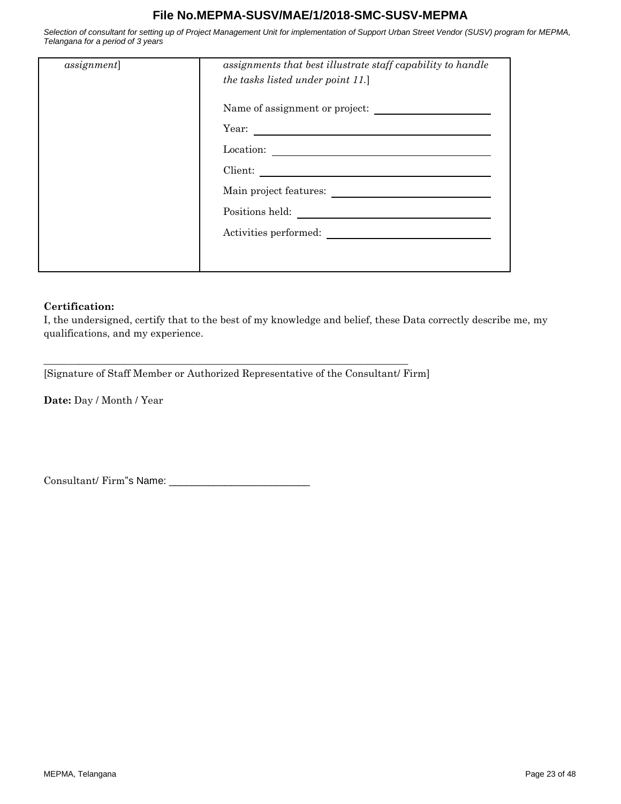*Selection of consultant for setting up of Project Management Unit for implementation of Support Urban Street Vendor (SUSV) program for MEPMA, Telangana for a period of 3 years*

| <i>assignment</i> ] | assignments that best illustrate staff capability to handle<br>the tasks listed under point 11.] |
|---------------------|--------------------------------------------------------------------------------------------------|
|                     | Name of assignment or project:                                                                   |
|                     | Year:<br><u> 1989 - Johann Barbara, martxa amerikan personal (h. 1989).</u>                      |
|                     | Location:                                                                                        |
|                     | Client:                                                                                          |
|                     | Main project features:                                                                           |
|                     | Positions held:                                                                                  |
|                     | Activities performed:                                                                            |
|                     |                                                                                                  |
|                     |                                                                                                  |

#### **Certification:**

I, the undersigned, certify that to the best of my knowledge and belief, these Data correctly describe me, my qualifications, and my experience.

[Signature of Staff Member or Authorized Representative of the Consultant/ Firm]

\_\_\_\_\_\_\_\_\_\_\_\_\_\_\_\_\_\_\_\_\_\_\_\_\_\_\_\_\_\_\_\_\_\_\_\_\_\_\_\_\_\_\_\_\_\_\_\_\_\_\_\_\_\_\_\_\_\_\_\_\_\_\_\_\_\_\_\_\_\_\_\_

**Date:** Day / Month / Year

Consultant/ Firm"s Name: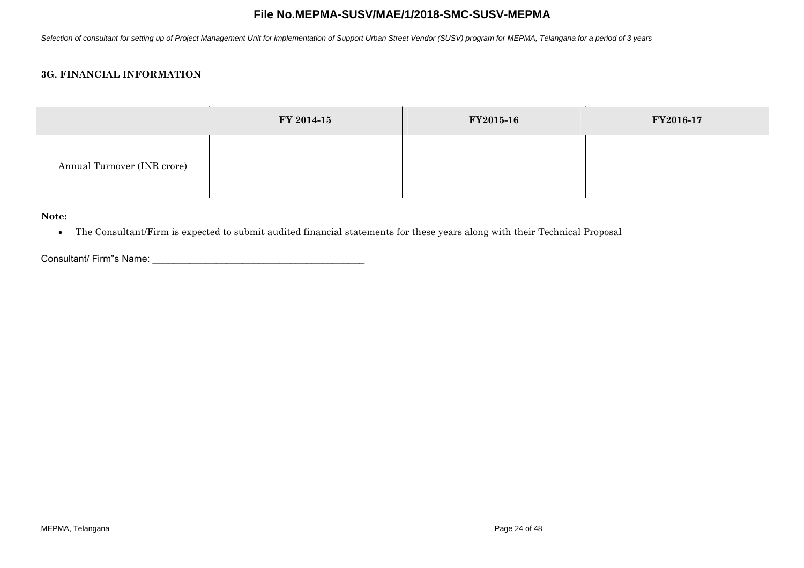*Selection of consultant for setting up of Project Management Unit for implementation of Support Urban Street Vendor (SUSV) program for MEPMA, Telangana for a period of 3 years*

# **3G. FINANCIAL INFORMATION**

|                             | FY 2014-15 | FY2015-16 | FY2016-17 |
|-----------------------------|------------|-----------|-----------|
| Annual Turnover (INR crore) |            |           |           |

**Note:**

The Consultant/Firm is expected to submit audited financial statements for these years along with their Technical Proposal

Consultant/ Firm"s Name: \_\_\_\_\_\_\_\_\_\_\_\_\_\_\_\_\_\_\_\_\_\_\_\_\_\_\_\_\_\_\_\_\_\_\_\_\_\_\_\_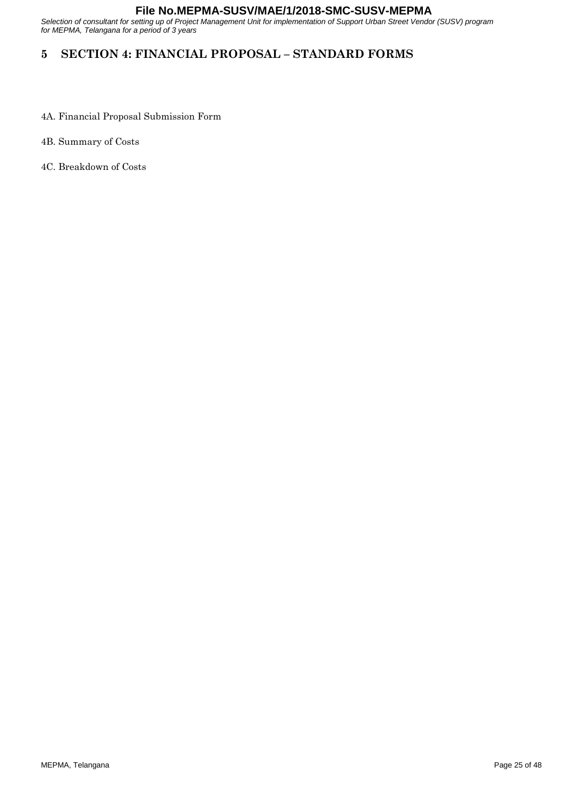<span id="page-24-0"></span>*Selection of consultant for setting up of Project Management Unit for implementation of Support Urban Street Vendor (SUSV) program for MEPMA, Telangana for a period of 3 years*

# **5 SECTION 4: FINANCIAL PROPOSAL – STANDARD FORMS**

- 4A. Financial Proposal Submission Form
- 4B. Summary of Costs
- 4C. Breakdown of Costs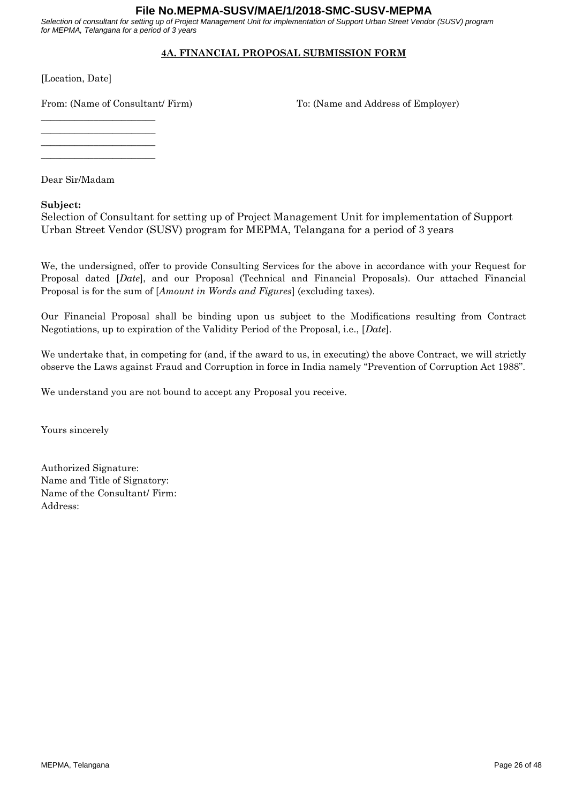*Selection of consultant for setting up of Project Management Unit for implementation of Support Urban Street Vendor (SUSV) program for MEPMA, Telangana for a period of 3 years*

# **4A. FINANCIAL PROPOSAL SUBMISSION FORM**

[Location, Date]

From: (Name of Consultant/ Firm) To: (Name and Address of Employer)

\_\_\_\_\_\_\_\_\_\_\_\_\_\_\_\_\_\_\_\_\_\_\_\_

\_\_\_\_\_\_\_\_\_\_\_\_\_\_\_\_\_\_\_\_\_\_\_\_ \_\_\_\_\_\_\_\_\_\_\_\_\_\_\_\_\_\_\_\_\_\_\_\_

\_\_\_\_\_\_\_\_\_\_\_\_\_\_\_\_\_\_\_\_\_\_\_\_

Dear Sir/Madam

#### **Subject:**

Selection of Consultant for setting up of Project Management Unit for implementation of Support Urban Street Vendor (SUSV) program for MEPMA, Telangana for a period of 3 years

We, the undersigned, offer to provide Consulting Services for the above in accordance with your Request for Proposal dated [*Date*], and our Proposal (Technical and Financial Proposals). Our attached Financial Proposal is for the sum of [*Amount in Words and Figures*] (excluding taxes).

Our Financial Proposal shall be binding upon us subject to the Modifications resulting from Contract Negotiations, up to expiration of the Validity Period of the Proposal, i.e., [*Date*].

We undertake that, in competing for (and, if the award to us, in executing) the above Contract, we will strictly observe the Laws against Fraud and Corruption in force in India namely "Prevention of Corruption Act 1988".

We understand you are not bound to accept any Proposal you receive.

Yours sincerely

Authorized Signature: Name and Title of Signatory: Name of the Consultant/ Firm: Address: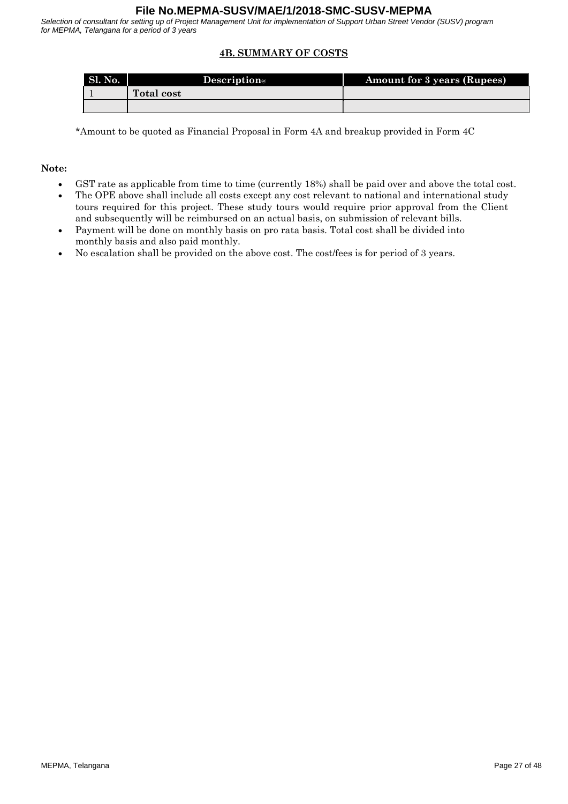*Selection of consultant for setting up of Project Management Unit for implementation of Support Urban Street Vendor (SUSV) program for MEPMA, Telangana for a period of 3 years*

# **4B. SUMMARY OF COSTS**

| Sl. No. | <b>Description</b> | <b>Amount for 3 years (Rupees)</b> |
|---------|--------------------|------------------------------------|
|         | <b>Total cost</b>  |                                    |
|         |                    |                                    |

\*Amount to be quoted as Financial Proposal in Form 4A and breakup provided in Form 4C

#### **Note:**

- GST rate as applicable from time to time (currently 18%) shall be paid over and above the total cost.
- The OPE above shall include all costs except any cost relevant to national and international study tours required for this project. These study tours would require prior approval from the Client and subsequently will be reimbursed on an actual basis, on submission of relevant bills.
- Payment will be done on monthly basis on pro rata basis. Total cost shall be divided into monthly basis and also paid monthly.
- No escalation shall be provided on the above cost. The cost/fees is for period of 3 years.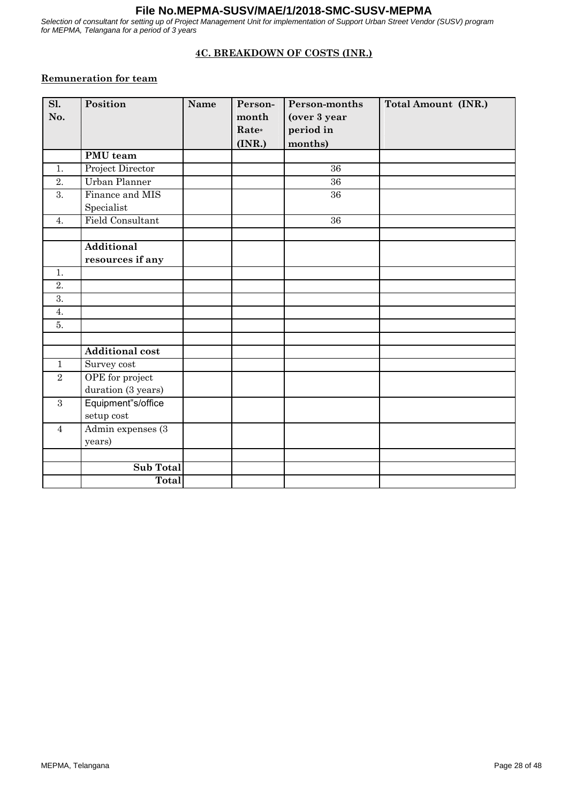*Selection of consultant for setting up of Project Management Unit for implementation of Support Urban Street Vendor (SUSV) program for MEPMA, Telangana for a period of 3 years*

# **4C. BREAKDOWN OF COSTS (INR.)**

# **Remuneration for team**

| Sl.              | Position                      | Name | Person- | Person-months | <b>Total Amount (INR.)</b> |
|------------------|-------------------------------|------|---------|---------------|----------------------------|
| No.              |                               |      | month   | (over 3 year  |                            |
|                  |                               |      | Rate*   | period in     |                            |
|                  |                               |      | (INR.)  | months)       |                            |
|                  | PMU team                      |      |         |               |                            |
| 1.               | Project Director              |      |         | 36            |                            |
| 2.               | Urban Planner                 |      |         | 36            |                            |
| $\overline{3}$ . | Finance and MIS<br>Specialist |      |         | 36            |                            |
| 4.               | <b>Field Consultant</b>       |      |         | 36            |                            |
|                  |                               |      |         |               |                            |
|                  | <b>Additional</b>             |      |         |               |                            |
|                  | resources if any              |      |         |               |                            |
| 1.               |                               |      |         |               |                            |
| $\overline{2}$ . |                               |      |         |               |                            |
| $\overline{3}$ . |                               |      |         |               |                            |
| 4.               |                               |      |         |               |                            |
| 5.               |                               |      |         |               |                            |
|                  |                               |      |         |               |                            |
|                  | <b>Additional cost</b>        |      |         |               |                            |
| $\mathbf{1}$     | Survey cost                   |      |         |               |                            |
| $\sqrt{2}$       | OPE for project               |      |         |               |                            |
|                  | duration (3 years)            |      |         |               |                            |
| $\mathbf{3}$     | Equipment"s/office            |      |         |               |                            |
|                  | setup cost                    |      |         |               |                            |
| $\overline{4}$   | Admin expenses (3)            |      |         |               |                            |
|                  | years)                        |      |         |               |                            |
|                  |                               |      |         |               |                            |
|                  | <b>Sub Total</b>              |      |         |               |                            |
|                  | Total                         |      |         |               |                            |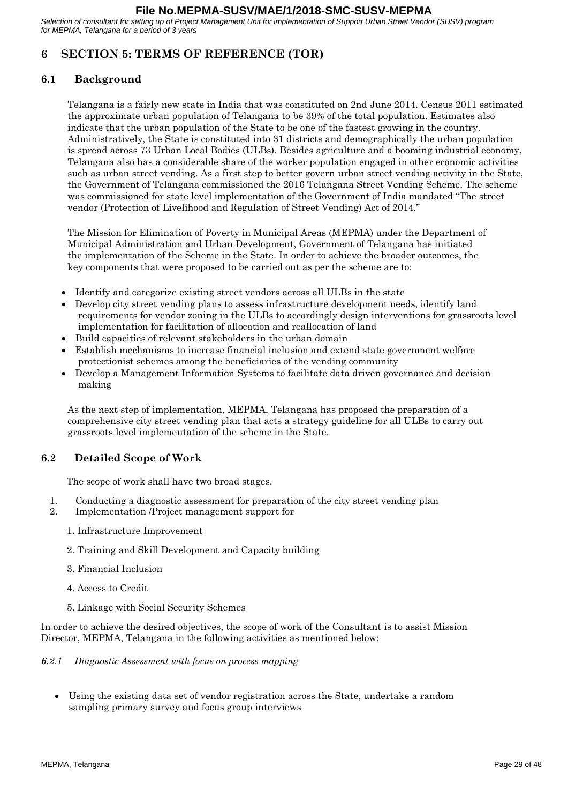<span id="page-28-0"></span>*Selection of consultant for setting up of Project Management Unit for implementation of Support Urban Street Vendor (SUSV) program for MEPMA, Telangana for a period of 3 years*

# **6 SECTION 5: TERMS OF REFERENCE (TOR)**

# **6.1 Background**

Telangana is a fairly new state in India that was constituted on 2nd June 2014. Census 2011 estimated the approximate urban population of Telangana to be 39% of the total population. Estimates also indicate that the urban population of the State to be one of the fastest growing in the country. Administratively, the State is constituted into 31 districts and demographically the urban population is spread across 73 Urban Local Bodies (ULBs). Besides agriculture and a booming industrial economy, Telangana also has a considerable share of the worker population engaged in other economic activities such as urban street vending. As a first step to better govern urban street vending activity in the State, the Government of Telangana commissioned the 2016 Telangana Street Vending Scheme. The scheme was commissioned for state level implementation of the Government of India mandated "The street vendor (Protection of Livelihood and Regulation of Street Vending) Act of 2014."

The Mission for Elimination of Poverty in Municipal Areas (MEPMA) under the Department of Municipal Administration and Urban Development, Government of Telangana has initiated the implementation of the Scheme in the State. In order to achieve the broader outcomes, the key components that were proposed to be carried out as per the scheme are to:

- Identify and categorize existing street vendors across all ULBs in the state
- Develop city street vending plans to assess infrastructure development needs, identify land requirements for vendor zoning in the ULBs to accordingly design interventions for grassroots level implementation for facilitation of allocation and reallocation of land
- Build capacities of relevant stakeholders in the urban domain
- Establish mechanisms to increase financial inclusion and extend state government welfare protectionist schemes among the beneficiaries of the vending community
- Develop a Management Information Systems to facilitate data driven governance and decision making

As the next step of implementation, MEPMA, Telangana has proposed the preparation of a comprehensive city street vending plan that acts a strategy guideline for all ULBs to carry out grassroots level implementation of the scheme in the State.

# **6.2 Detailed Scope of Work**

The scope of work shall have two broad stages.

- 1. Conducting a diagnostic assessment for preparation of the city street vending plan
- 2. Implementation /Project management support for
	- 1. Infrastructure Improvement
	- 2. Training and Skill Development and Capacity building
	- 3. Financial Inclusion
	- 4. Access to Credit
	- 5. Linkage with Social Security Schemes

In order to achieve the desired objectives, the scope of work of the Consultant is to assist Mission Director, MEPMA, Telangana in the following activities as mentioned below:

*6.2.1 Diagnostic Assessment with focus on process mapping*

 Using the existing data set of vendor registration across the State, undertake a random sampling primary survey and focus group interviews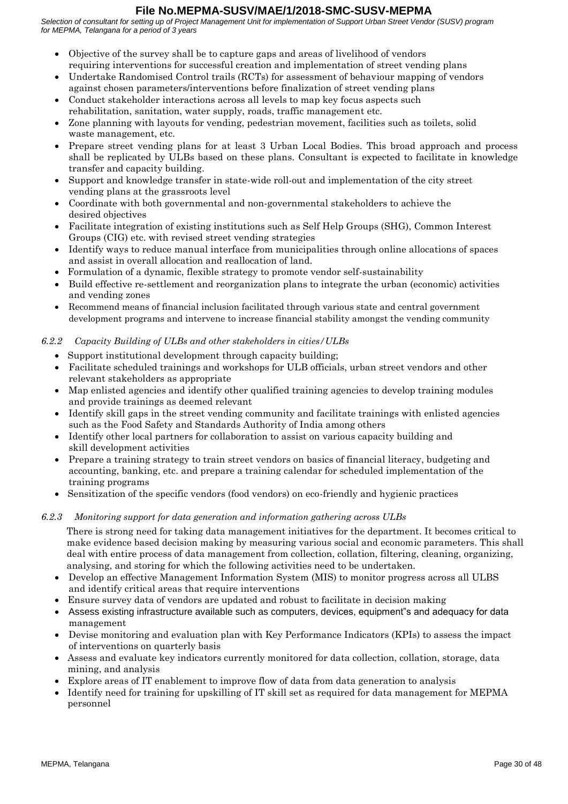*Selection of consultant for setting up of Project Management Unit for implementation of Support Urban Street Vendor (SUSV) program for MEPMA, Telangana for a period of 3 years*

- Objective of the survey shall be to capture gaps and areas of livelihood of vendors requiring interventions for successful creation and implementation of street vending plans
- Undertake Randomised Control trails (RCTs) for assessment of behaviour mapping of vendors against chosen parameters/interventions before finalization of street vending plans
- Conduct stakeholder interactions across all levels to map key focus aspects such rehabilitation, sanitation, water supply, roads, traffic management etc.
- Zone planning with layouts for vending, pedestrian movement, facilities such as toilets, solid waste management, etc.
- Prepare street vending plans for at least 3 Urban Local Bodies. This broad approach and process shall be replicated by ULBs based on these plans. Consultant is expected to facilitate in knowledge transfer and capacity building.
- Support and knowledge transfer in state-wide roll-out and implementation of the city street vending plans at the grassroots level
- Coordinate with both governmental and non-governmental stakeholders to achieve the desired objectives
- Facilitate integration of existing institutions such as Self Help Groups (SHG), Common Interest Groups (CIG) etc. with revised street vending strategies
- Identify ways to reduce manual interface from municipalities through online allocations of spaces and assist in overall allocation and reallocation of land.
- Formulation of a dynamic, flexible strategy to promote vendor self-sustainability
- Build effective re-settlement and reorganization plans to integrate the urban (economic) activities and vending zones
- Recommend means of financial inclusion facilitated through various state and central government development programs and intervene to increase financial stability amongst the vending community

# *6.2.2 Capacity Building of ULBs and other stakeholders in cities/ULBs*

- Support institutional development through capacity building;
- Facilitate scheduled trainings and workshops for ULB officials, urban street vendors and other relevant stakeholders as appropriate
- Map enlisted agencies and identify other qualified training agencies to develop training modules and provide trainings as deemed relevant
- Identify skill gaps in the street vending community and facilitate trainings with enlisted agencies such as the Food Safety and Standards Authority of India among others
- Identify other local partners for collaboration to assist on various capacity building and skill development activities
- Prepare a training strategy to train street vendors on basics of financial literacy, budgeting and accounting, banking, etc. and prepare a training calendar for scheduled implementation of the training programs
- Sensitization of the specific vendors (food vendors) on eco-friendly and hygienic practices

#### *6.2.3 Monitoring support for data generation and information gathering across ULBs*

There is strong need for taking data management initiatives for the department. It becomes critical to make evidence based decision making by measuring various social and economic parameters. This shall deal with entire process of data management from collection, collation, filtering, cleaning, organizing, analysing, and storing for which the following activities need to be undertaken.

- Develop an effective Management Information System (MIS) to monitor progress across all ULBS and identify critical areas that require interventions
- Ensure survey data of vendors are updated and robust to facilitate in decision making
- Assess existing infrastructure available such as computers, devices, equipment"s and adequacy for data management
- Devise monitoring and evaluation plan with Key Performance Indicators (KPIs) to assess the impact of interventions on quarterly basis
- Assess and evaluate key indicators currently monitored for data collection, collation, storage, data mining, and analysis
- Explore areas of IT enablement to improve flow of data from data generation to analysis
- Identify need for training for upskilling of IT skill set as required for data management for MEPMA personnel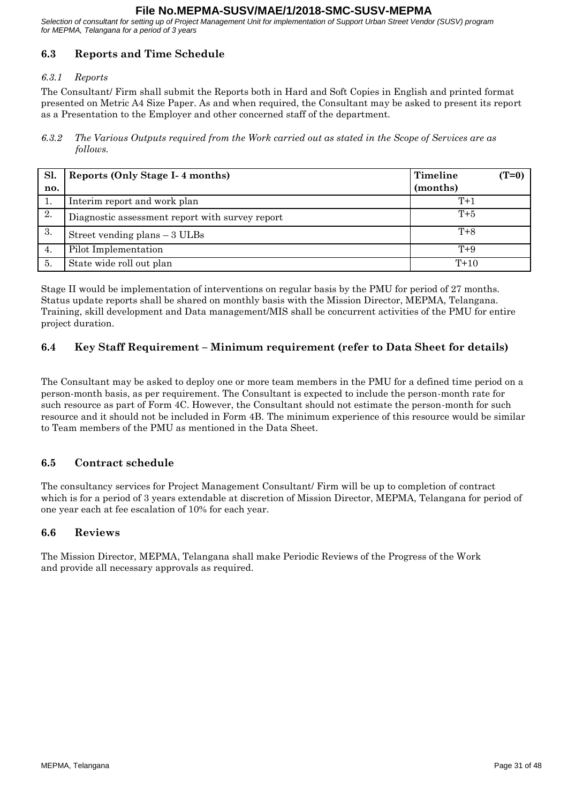*Selection of consultant for setting up of Project Management Unit for implementation of Support Urban Street Vendor (SUSV) program for MEPMA, Telangana for a period of 3 years*

# **6.3 Reports and Time Schedule**

# *6.3.1 Reports*

The Consultant/ Firm shall submit the Reports both in Hard and Soft Copies in English and printed format presented on Metric A4 Size Paper. As and when required, the Consultant may be asked to present its report as a Presentation to the Employer and other concerned staff of the department.

*6.3.2 The Various Outputs required from the Work carried out as stated in the Scope of Services are as follows.*

| Sl. | Reports (Only Stage I-4 months)                 | Timeline | $(T=0)$ |
|-----|-------------------------------------------------|----------|---------|
| no. |                                                 | (months) |         |
| д.  | Interim report and work plan                    | $T+1$    |         |
| 2.  | Diagnostic assessment report with survey report | $T+5$    |         |
| 3.  | Street vending plans $-3$ ULBs                  | $T + 8$  |         |
| 4.  | Pilot Implementation                            | $T+9$    |         |
| 5.  | State wide roll out plan                        | $T+10$   |         |

Stage II would be implementation of interventions on regular basis by the PMU for period of 27 months. Status update reports shall be shared on monthly basis with the Mission Director, MEPMA, Telangana. Training, skill development and Data management/MIS shall be concurrent activities of the PMU for entire project duration.

# **6.4 Key Staff Requirement – Minimum requirement (refer to Data Sheet for details)**

The Consultant may be asked to deploy one or more team members in the PMU for a defined time period on a person-month basis, as per requirement. The Consultant is expected to include the person-month rate for such resource as part of Form 4C. However, the Consultant should not estimate the person-month for such resource and it should not be included in Form 4B. The minimum experience of this resource would be similar to Team members of the PMU as mentioned in the Data Sheet.

# **6.5 Contract schedule**

The consultancy services for Project Management Consultant/ Firm will be up to completion of contract which is for a period of 3 years extendable at discretion of Mission Director, MEPMA, Telangana for period of one year each at fee escalation of 10% for each year.

# **6.6 Reviews**

The Mission Director, MEPMA, Telangana shall make Periodic Reviews of the Progress of the Work and provide all necessary approvals as required.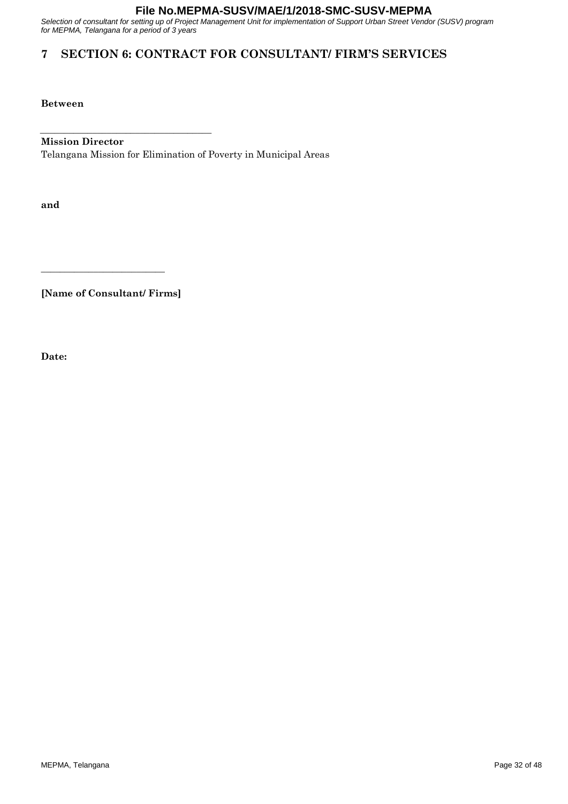<span id="page-31-0"></span>*Selection of consultant for setting up of Project Management Unit for implementation of Support Urban Street Vendor (SUSV) program for MEPMA, Telangana for a period of 3 years*

# **7 SECTION 6: CONTRACT FOR CONSULTANT/ FIRM'S SERVICES**

**Between**

#### **Mission Director**

**\_\_\_\_\_\_\_\_\_\_\_\_\_\_\_\_\_\_\_\_\_\_\_\_\_\_\_\_\_\_\_\_\_\_\_\_**

Telangana Mission for Elimination of Poverty in Municipal Areas

**and**

**[Name of Consultant/ Firms]**

**\_\_\_\_\_\_\_\_\_\_\_\_\_\_\_\_\_\_\_\_\_\_\_\_\_\_**

**Date:**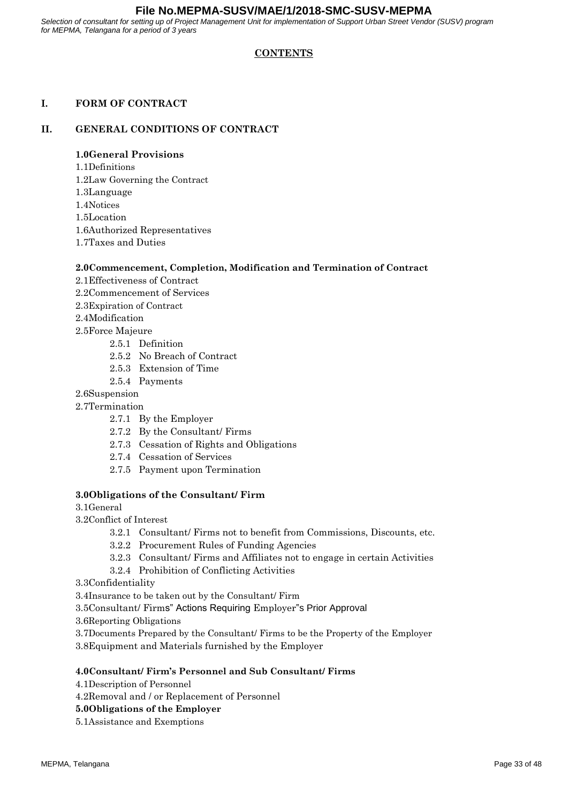*Selection of consultant for setting up of Project Management Unit for implementation of Support Urban Street Vendor (SUSV) program for MEPMA, Telangana for a period of 3 years*

## **CONTENTS**

#### **I. FORM OF CONTRACT**

#### **II. GENERAL CONDITIONS OF CONTRACT**

#### **1.0General Provisions**

- 1.1Definitions
- 1.2Law Governing the Contract
- 1.3Language
- 1.4Notices
- 1.5Location
- 1.6Authorized Representatives
- 1.7Taxes and Duties

#### **2.0Commencement, Completion, Modification and Termination of Contract**

- 2.1Effectiveness of Contract
- 2.2Commencement of Services
- 2.3Expiration of Contract
- 2.4Modification
- 2.5Force Majeure
	- 2.5.1 Definition
	- 2.5.2 No Breach of Contract
	- 2.5.3 Extension of Time
	- 2.5.4 Payments
- 2.6Suspension
- 2.7Termination
	- 2.7.1 By the Employer
	- 2.7.2 By the Consultant/ Firms
	- 2.7.3 Cessation of Rights and Obligations
	- 2.7.4 Cessation of Services
	- 2.7.5 Payment upon Termination

#### **3.0Obligations of the Consultant/ Firm**

- 3.1General
- 3.2Conflict of Interest
	- 3.2.1 Consultant/ Firms not to benefit from Commissions, Discounts, etc.
	- 3.2.2 Procurement Rules of Funding Agencies
	- 3.2.3 Consultant/ Firms and Affiliates not to engage in certain Activities
	- 3.2.4 Prohibition of Conflicting Activities
- 3.3Confidentiality
- 3.4Insurance to be taken out by the Consultant/ Firm
- 3.5Consultant/ Firms" Actions Requiring Employer"s Prior Approval
- 3.6Reporting Obligations
- 3.7Documents Prepared by the Consultant/ Firms to be the Property of the Employer
- 3.8Equipment and Materials furnished by the Employer

#### **4.0Consultant/ Firm's Personnel and Sub Consultant/ Firms**

- 4.1Description of Personnel
- 4.2Removal and / or Replacement of Personnel
- **5.0Obligations of the Employer**
- 5.1Assistance and Exemptions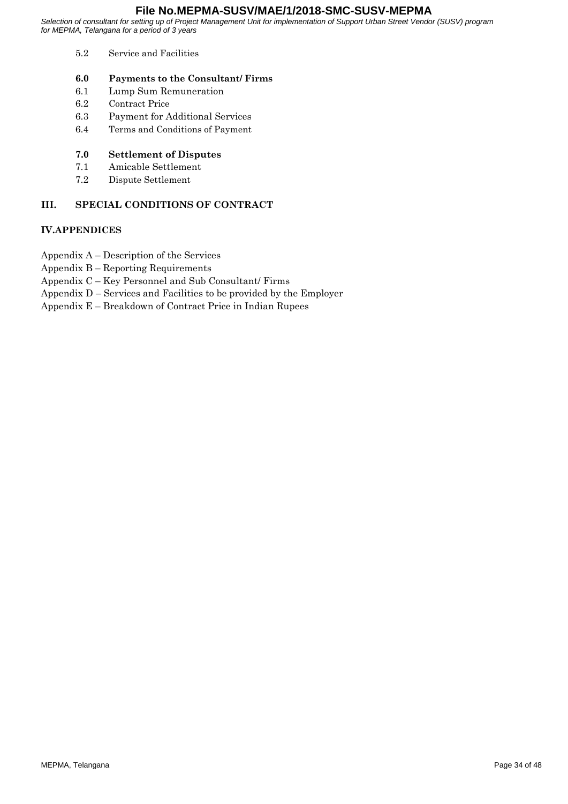*Selection of consultant for setting up of Project Management Unit for implementation of Support Urban Street Vendor (SUSV) program for MEPMA, Telangana for a period of 3 years*

- 5.2 Service and Facilities
- **6.0 Payments to the Consultant/ Firms**
- 6.1 Lump Sum Remuneration
- 6.2 Contract Price
- 6.3 Payment for Additional Services
- 6.4 Terms and Conditions of Payment

#### **7.0 Settlement of Disputes**

- 7.1 Amicable Settlement
- 7.2 Dispute Settlement

# **III. SPECIAL CONDITIONS OF CONTRACT**

#### **IV.APPENDICES**

- Appendix A Description of the Services
- Appendix B Reporting Requirements
- Appendix C Key Personnel and Sub Consultant/ Firms
- Appendix D Services and Facilities to be provided by the Employer
- Appendix E Breakdown of Contract Price in Indian Rupees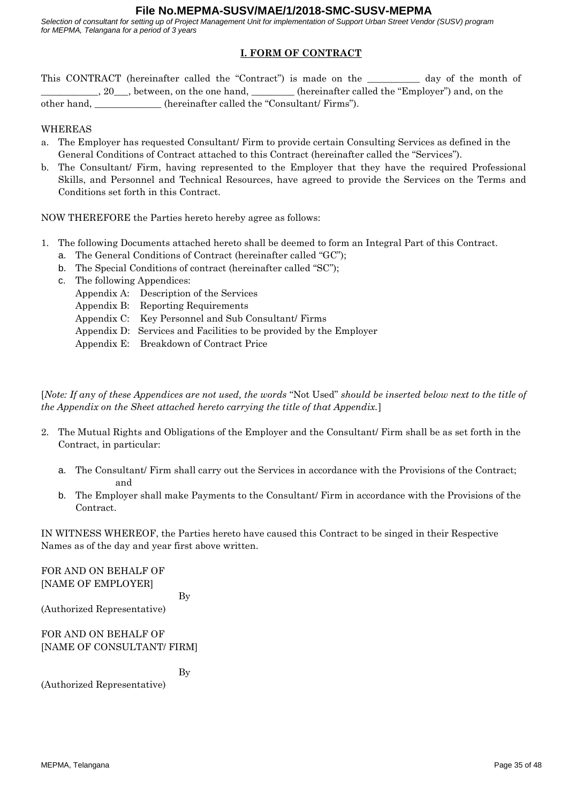*Selection of consultant for setting up of Project Management Unit for implementation of Support Urban Street Vendor (SUSV) program for MEPMA, Telangana for a period of 3 years*

# **I. FORM OF CONTRACT**

This CONTRACT (hereinafter called the "Contract") is made on the day of the month of  $\_,$  20<sub>\comp</sub>, between, on the one hand, \_\_\_\_\_\_\_\_\_\_ (hereinafter called the "Employer") and, on the other hand, \_\_\_\_\_\_\_\_\_\_\_\_\_\_ (hereinafter called the "Consultant/ Firms").

WHEREAS

- a. The Employer has requested Consultant/ Firm to provide certain Consulting Services as defined in the General Conditions of Contract attached to this Contract (hereinafter called the "Services").
- b. The Consultant/ Firm, having represented to the Employer that they have the required Professional Skills, and Personnel and Technical Resources, have agreed to provide the Services on the Terms and Conditions set forth in this Contract.

NOW THEREFORE the Parties hereto hereby agree as follows:

- 1. The following Documents attached hereto shall be deemed to form an Integral Part of this Contract.
	- a. The General Conditions of Contract (hereinafter called "GC");
	- b. The Special Conditions of contract (hereinafter called "SC");
	- c. The following Appendices:
		- Appendix A: Description of the Services
			- Appendix B: Reporting Requirements
			- Appendix C: Key Personnel and Sub Consultant/ Firms
			- Appendix D: Services and Facilities to be provided by the Employer
			- Appendix E: Breakdown of Contract Price

[*Note: If an*y *of these Appendices are not used, the words* "Not Used" *should be inserted below next to the title of the Appendix on the Sheet attached hereto carrying the title of that Appendix.*]

- 2. The Mutual Rights and Obligations of the Employer and the Consultant/ Firm shall be as set forth in the Contract, in particular:
	- a. The Consultant/ Firm shall carry out the Services in accordance with the Provisions of the Contract; and
	- b. The Employer shall make Payments to the Consultant/ Firm in accordance with the Provisions of the Contract.

IN WITNESS WHEREOF, the Parties hereto have caused this Contract to be singed in their Respective Names as of the day and year first above written.

FOR AND ON BEHALF OF [NAME OF EMPLOYER]

By

(Authorized Representative)

FOR AND ON BEHALF OF [NAME OF CONSULTANT/ FIRM]

By

(Authorized Representative)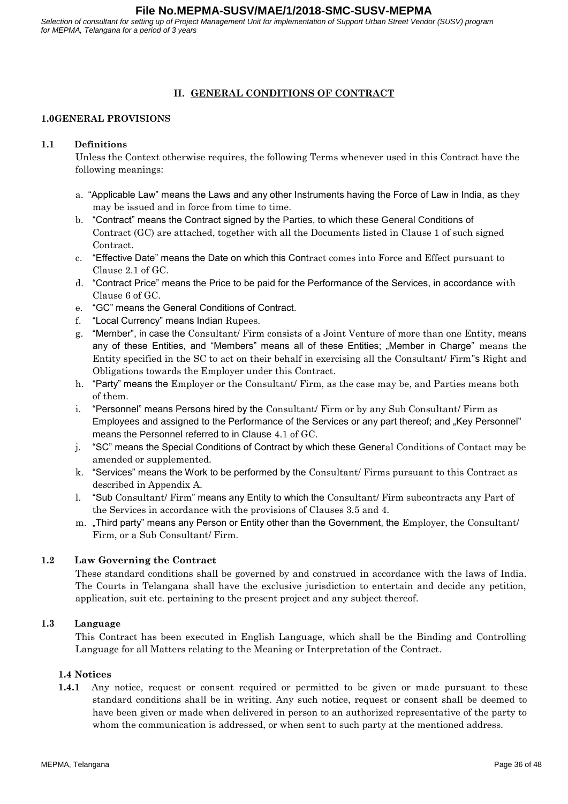*Selection of consultant for setting up of Project Management Unit for implementation of Support Urban Street Vendor (SUSV) program for MEPMA, Telangana for a period of 3 years*

## **II. GENERAL CONDITIONS OF CONTRACT**

#### **1.0GENERAL PROVISIONS**

#### **1.1 Definitions**

Unless the Context otherwise requires, the following Terms whenever used in this Contract have the following meanings:

- a. "Applicable Law" means the Laws and any other Instruments having the Force of Law in India, as they may be issued and in force from time to time.
- b. "Contract" means the Contract signed by the Parties, to which these General Conditions of Contract (GC) are attached, together with all the Documents listed in Clause 1 of such signed Contract.
- c. "Effective Date" means the Date on which this Contract comes into Force and Effect pursuant to Clause 2.1 of GC.
- d. "Contract Price" means the Price to be paid for the Performance of the Services, in accordance with Clause 6 of GC.
- e. "GC" means the General Conditions of Contract.
- f. "Local Currency" means Indian Rupees.
- g. "Member", in case the Consultant/ Firm consists of a Joint Venture of more than one Entity, means any of these Entities, and "Members" means all of these Entities; "Member in Charge" means the Entity specified in the SC to act on their behalf in exercising all the Consultant/ Firm"s Right and Obligations towards the Employer under this Contract.
- h. "Party" means the Employer or the Consultant/ Firm, as the case may be, and Parties means both of them.
- i. "Personnel" means Persons hired by the Consultant/ Firm or by any Sub Consultant/ Firm as Employees and assigned to the Performance of the Services or any part thereof; and "Key Personnel" means the Personnel referred to in Clause 4.1 of GC.
- j. "SC" means the Special Conditions of Contract by which these General Conditions of Contact may be amended or supplemented.
- k. "Services" means the Work to be performed by the Consultant/ Firms pursuant to this Contract as described in Appendix A.
- l. "Sub Consultant/ Firm" means any Entity to which the Consultant/ Firm subcontracts any Part of the Services in accordance with the provisions of Clauses 3.5 and 4.
- m. "Third party" means any Person or Entity other than the Government, the Employer, the Consultant/ Firm, or a Sub Consultant/ Firm.

#### **1.2 Law Governing the Contract**

These standard conditions shall be governed by and construed in accordance with the laws of India. The Courts in Telangana shall have the exclusive jurisdiction to entertain and decide any petition, application, suit etc. pertaining to the present project and any subject thereof.

#### **1.3 Language**

This Contract has been executed in English Language, which shall be the Binding and Controlling Language for all Matters relating to the Meaning or Interpretation of the Contract.

#### **1.4 Notices**

**1.4.1** Any notice, request or consent required or permitted to be given or made pursuant to these standard conditions shall be in writing. Any such notice, request or consent shall be deemed to have been given or made when delivered in person to an authorized representative of the party to whom the communication is addressed, or when sent to such party at the mentioned address.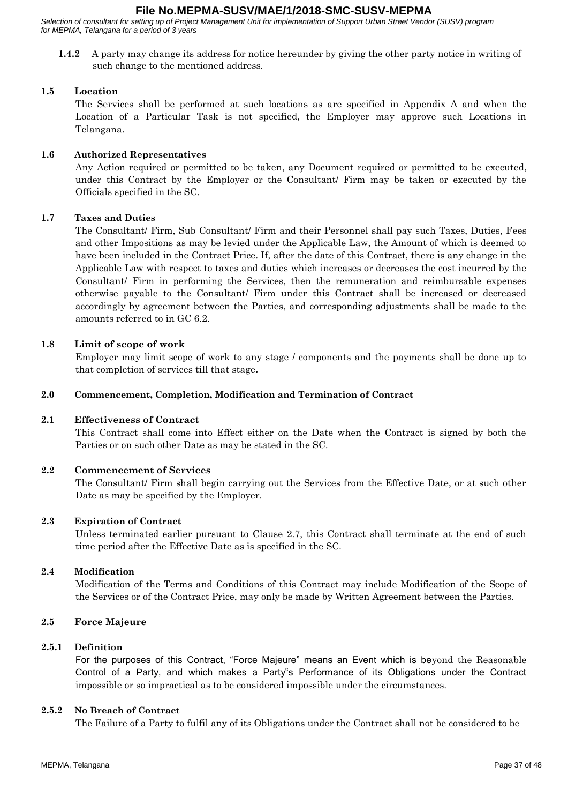*Selection of consultant for setting up of Project Management Unit for implementation of Support Urban Street Vendor (SUSV) program for MEPMA, Telangana for a period of 3 years*

**1.4.2** A party may change its address for notice hereunder by giving the other party notice in writing of such change to the mentioned address.

#### **1.5 Location**

The Services shall be performed at such locations as are specified in Appendix A and when the Location of a Particular Task is not specified, the Employer may approve such Locations in Telangana.

## **1.6 Authorized Representatives**

Any Action required or permitted to be taken, any Document required or permitted to be executed, under this Contract by the Employer or the Consultant/ Firm may be taken or executed by the Officials specified in the SC.

# **1.7 Taxes and Duties**

The Consultant/ Firm, Sub Consultant/ Firm and their Personnel shall pay such Taxes, Duties, Fees and other Impositions as may be levied under the Applicable Law, the Amount of which is deemed to have been included in the Contract Price. If, after the date of this Contract, there is any change in the Applicable Law with respect to taxes and duties which increases or decreases the cost incurred by the Consultant/ Firm in performing the Services, then the remuneration and reimbursable expenses otherwise payable to the Consultant/ Firm under this Contract shall be increased or decreased accordingly by agreement between the Parties, and corresponding adjustments shall be made to the amounts referred to in GC 6.2.

# **1.8 Limit of scope of work**

Employer may limit scope of work to any stage / components and the payments shall be done up to that completion of services till that stage**.**

#### **2.0 Commencement, Completion, Modification and Termination of Contract**

#### **2.1 Effectiveness of Contract**

This Contract shall come into Effect either on the Date when the Contract is signed by both the Parties or on such other Date as may be stated in the SC.

#### **2.2 Commencement of Services**

The Consultant/ Firm shall begin carrying out the Services from the Effective Date, or at such other Date as may be specified by the Employer.

#### **2.3 Expiration of Contract**

Unless terminated earlier pursuant to Clause 2.7, this Contract shall terminate at the end of such time period after the Effective Date as is specified in the SC.

#### **2.4 Modification**

Modification of the Terms and Conditions of this Contract may include Modification of the Scope of the Services or of the Contract Price, may only be made by Written Agreement between the Parties.

#### **2.5 Force Majeure**

### **2.5.1 Definition**

For the purposes of this Contract, "Force Majeure" means an Event which is beyond the Reasonable Control of a Party, and which makes a Party"s Performance of its Obligations under the Contract impossible or so impractical as to be considered impossible under the circumstances.

#### **2.5.2 No Breach of Contract**

The Failure of a Party to fulfil any of its Obligations under the Contract shall not be considered to be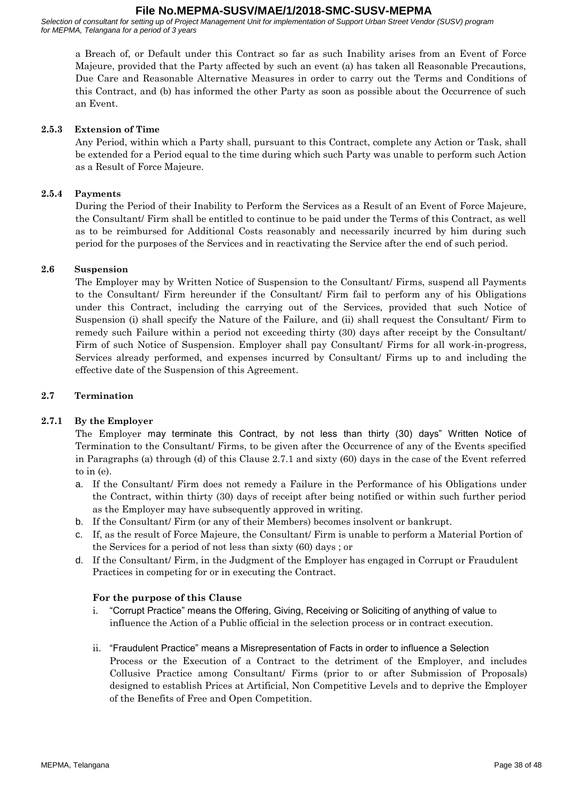*Selection of consultant for setting up of Project Management Unit for implementation of Support Urban Street Vendor (SUSV) program for MEPMA, Telangana for a period of 3 years*

a Breach of, or Default under this Contract so far as such Inability arises from an Event of Force Majeure, provided that the Party affected by such an event (a) has taken all Reasonable Precautions, Due Care and Reasonable Alternative Measures in order to carry out the Terms and Conditions of this Contract, and (b) has informed the other Party as soon as possible about the Occurrence of such an Event.

#### **2.5.3 Extension of Time**

Any Period, within which a Party shall, pursuant to this Contract, complete any Action or Task, shall be extended for a Period equal to the time during which such Party was unable to perform such Action as a Result of Force Majeure.

#### **2.5.4 Payments**

During the Period of their Inability to Perform the Services as a Result of an Event of Force Majeure, the Consultant/ Firm shall be entitled to continue to be paid under the Terms of this Contract, as well as to be reimbursed for Additional Costs reasonably and necessarily incurred by him during such period for the purposes of the Services and in reactivating the Service after the end of such period.

#### **2.6 Suspension**

The Employer may by Written Notice of Suspension to the Consultant/ Firms, suspend all Payments to the Consultant/ Firm hereunder if the Consultant/ Firm fail to perform any of his Obligations under this Contract, including the carrying out of the Services, provided that such Notice of Suspension (i) shall specify the Nature of the Failure, and (ii) shall request the Consultant/ Firm to remedy such Failure within a period not exceeding thirty (30) days after receipt by the Consultant/ Firm of such Notice of Suspension. Employer shall pay Consultant/ Firms for all work-in-progress, Services already performed, and expenses incurred by Consultant/ Firms up to and including the effective date of the Suspension of this Agreement.

#### **2.7 Termination**

#### **2.7.1 By the Employer**

The Employer may terminate this Contract, by not less than thirty (30) days" Written Notice of Termination to the Consultant/ Firms, to be given after the Occurrence of any of the Events specified in Paragraphs (a) through (d) of this Clause 2.7.1 and sixty (60) days in the case of the Event referred to in (e).

- a. If the Consultant/ Firm does not remedy a Failure in the Performance of his Obligations under the Contract, within thirty (30) days of receipt after being notified or within such further period as the Employer may have subsequently approved in writing.
- b. If the Consultant/ Firm (or any of their Members) becomes insolvent or bankrupt.
- c. If, as the result of Force Majeure, the Consultant/ Firm is unable to perform a Material Portion of the Services for a period of not less than sixty (60) days ; or
- d. If the Consultant/ Firm, in the Judgment of the Employer has engaged in Corrupt or Fraudulent Practices in competing for or in executing the Contract.

#### **For the purpose of this Clause**

- i. "Corrupt Practice" means the Offering, Giving, Receiving or Soliciting of anything of value to influence the Action of a Public official in the selection process or in contract execution.
- ii. "Fraudulent Practice" means a Misrepresentation of Facts in order to influence a Selection Process or the Execution of a Contract to the detriment of the Employer, and includes Collusive Practice among Consultant/ Firms (prior to or after Submission of Proposals) designed to establish Prices at Artificial, Non Competitive Levels and to deprive the Employer of the Benefits of Free and Open Competition.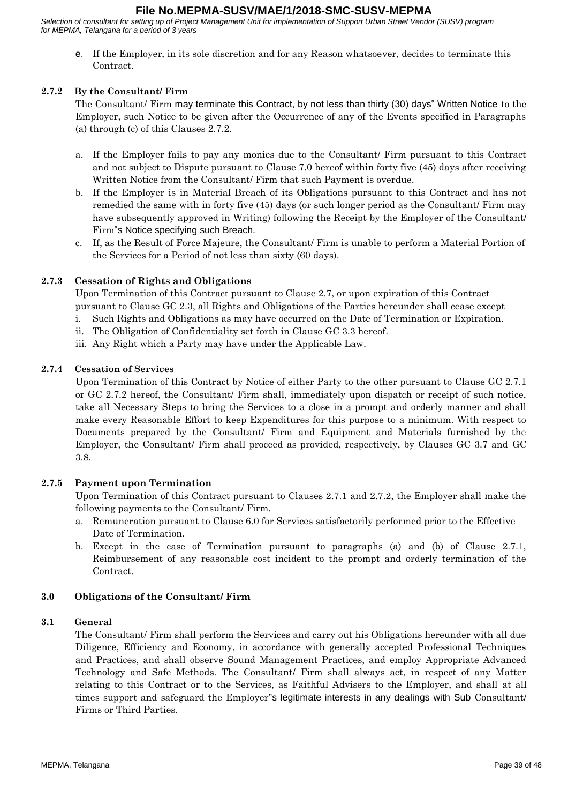*Selection of consultant for setting up of Project Management Unit for implementation of Support Urban Street Vendor (SUSV) program for MEPMA, Telangana for a period of 3 years*

e. If the Employer, in its sole discretion and for any Reason whatsoever, decides to terminate this Contract.

#### **2.7.2 By the Consultant/ Firm**

The Consultant/ Firm may terminate this Contract, by not less than thirty (30) days" Written Notice to the Employer, such Notice to be given after the Occurrence of any of the Events specified in Paragraphs (a) through (c) of this Clauses 2.7.2.

- a. If the Employer fails to pay any monies due to the Consultant/ Firm pursuant to this Contract and not subject to Dispute pursuant to Clause 7.0 hereof within forty five (45) days after receiving Written Notice from the Consultant/ Firm that such Payment is overdue.
- b. If the Employer is in Material Breach of its Obligations pursuant to this Contract and has not remedied the same with in forty five (45) days (or such longer period as the Consultant/ Firm may have subsequently approved in Writing) following the Receipt by the Employer of the Consultant Firm"s Notice specifying such Breach.
- c. If, as the Result of Force Majeure, the Consultant/ Firm is unable to perform a Material Portion of the Services for a Period of not less than sixty (60 days).

#### **2.7.3 Cessation of Rights and Obligations**

Upon Termination of this Contract pursuant to Clause 2.7, or upon expiration of this Contract pursuant to Clause GC 2.3, all Rights and Obligations of the Parties hereunder shall cease except

i. Such Rights and Obligations as may have occurred on the Date of Termination or Expiration.

- ii. The Obligation of Confidentiality set forth in Clause GC 3.3 hereof.
- iii. Any Right which a Party may have under the Applicable Law.

#### **2.7.4 Cessation of Services**

Upon Termination of this Contract by Notice of either Party to the other pursuant to Clause GC 2.7.1 or GC 2.7.2 hereof, the Consultant/ Firm shall, immediately upon dispatch or receipt of such notice, take all Necessary Steps to bring the Services to a close in a prompt and orderly manner and shall make every Reasonable Effort to keep Expenditures for this purpose to a minimum. With respect to Documents prepared by the Consultant/ Firm and Equipment and Materials furnished by the Employer, the Consultant/ Firm shall proceed as provided, respectively, by Clauses GC 3.7 and GC 3.8.

#### **2.7.5 Payment upon Termination**

Upon Termination of this Contract pursuant to Clauses 2.7.1 and 2.7.2, the Employer shall make the following payments to the Consultant/ Firm.

- a. Remuneration pursuant to Clause 6.0 for Services satisfactorily performed prior to the Effective Date of Termination.
- b. Except in the case of Termination pursuant to paragraphs (a) and (b) of Clause 2.7.1, Reimbursement of any reasonable cost incident to the prompt and orderly termination of the Contract.

#### **3.0 Obligations of the Consultant/ Firm**

#### **3.1 General**

The Consultant/ Firm shall perform the Services and carry out his Obligations hereunder with all due Diligence, Efficiency and Economy, in accordance with generally accepted Professional Techniques and Practices, and shall observe Sound Management Practices, and employ Appropriate Advanced Technology and Safe Methods. The Consultant/ Firm shall always act, in respect of any Matter relating to this Contract or to the Services, as Faithful Advisers to the Employer, and shall at all times support and safeguard the Employer"s legitimate interests in any dealings with Sub Consultant/ Firms or Third Parties.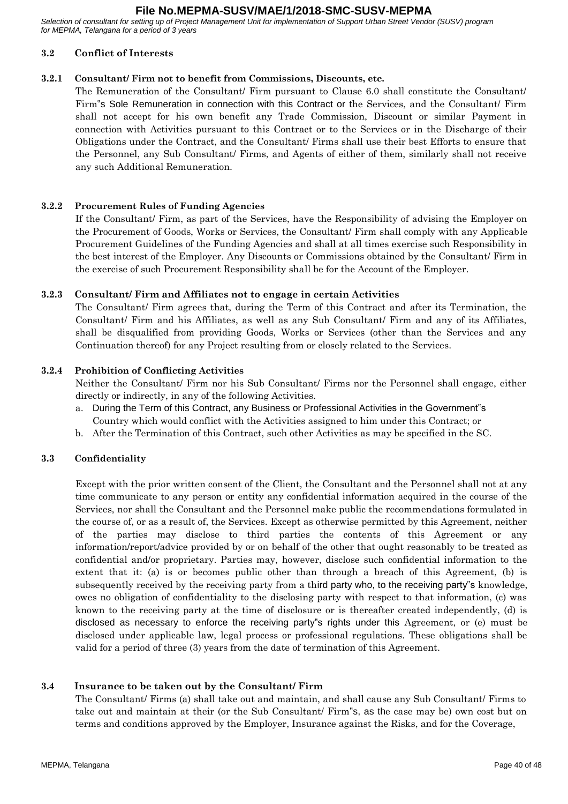*Selection of consultant for setting up of Project Management Unit for implementation of Support Urban Street Vendor (SUSV) program for MEPMA, Telangana for a period of 3 years*

#### **3.2 Conflict of Interests**

#### **3.2.1 Consultant/ Firm not to benefit from Commissions, Discounts, etc.**

The Remuneration of the Consultant/ Firm pursuant to Clause 6.0 shall constitute the Consultant/ Firm"s Sole Remuneration in connection with this Contract or the Services, and the Consultant/ Firm shall not accept for his own benefit any Trade Commission, Discount or similar Payment in connection with Activities pursuant to this Contract or to the Services or in the Discharge of their Obligations under the Contract, and the Consultant/ Firms shall use their best Efforts to ensure that the Personnel, any Sub Consultant/ Firms, and Agents of either of them, similarly shall not receive any such Additional Remuneration.

#### **3.2.2 Procurement Rules of Funding Agencies**

If the Consultant/ Firm, as part of the Services, have the Responsibility of advising the Employer on the Procurement of Goods, Works or Services, the Consultant/ Firm shall comply with any Applicable Procurement Guidelines of the Funding Agencies and shall at all times exercise such Responsibility in the best interest of the Employer. Any Discounts or Commissions obtained by the Consultant/ Firm in the exercise of such Procurement Responsibility shall be for the Account of the Employer.

#### **3.2.3 Consultant/ Firm and Affiliates not to engage in certain Activities**

The Consultant/ Firm agrees that, during the Term of this Contract and after its Termination, the Consultant/ Firm and his Affiliates, as well as any Sub Consultant/ Firm and any of its Affiliates, shall be disqualified from providing Goods, Works or Services (other than the Services and any Continuation thereof) for any Project resulting from or closely related to the Services.

#### **3.2.4 Prohibition of Conflicting Activities**

Neither the Consultant/ Firm nor his Sub Consultant/ Firms nor the Personnel shall engage, either directly or indirectly, in any of the following Activities.

- a. During the Term of this Contract, any Business or Professional Activities in the Government"s Country which would conflict with the Activities assigned to him under this Contract; or
- b. After the Termination of this Contract, such other Activities as may be specified in the SC.

#### **3.3 Confidentiality**

Except with the prior written consent of the Client, the Consultant and the Personnel shall not at any time communicate to any person or entity any confidential information acquired in the course of the Services, nor shall the Consultant and the Personnel make public the recommendations formulated in the course of, or as a result of, the Services. Except as otherwise permitted by this Agreement, neither of the parties may disclose to third parties the contents of this Agreement or any information/report/advice provided by or on behalf of the other that ought reasonably to be treated as confidential and/or proprietary. Parties may, however, disclose such confidential information to the extent that it: (a) is or becomes public other than through a breach of this Agreement, (b) is subsequently received by the receiving party from a third party who, to the receiving party"s knowledge, owes no obligation of confidentiality to the disclosing party with respect to that information, (c) was known to the receiving party at the time of disclosure or is thereafter created independently, (d) is disclosed as necessary to enforce the receiving party"s rights under this Agreement, or (e) must be disclosed under applicable law, legal process or professional regulations. These obligations shall be valid for a period of three (3) years from the date of termination of this Agreement.

# **3.4 Insurance to be taken out by the Consultant/ Firm**

The Consultant/ Firms (a) shall take out and maintain, and shall cause any Sub Consultant/ Firms to take out and maintain at their (or the Sub Consultant/ Firm"s, as the case may be) own cost but on terms and conditions approved by the Employer, Insurance against the Risks, and for the Coverage,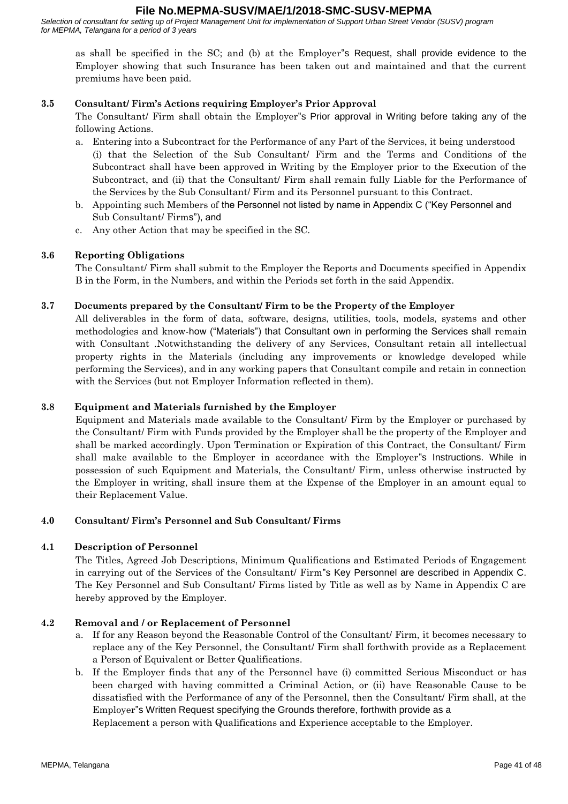*Selection of consultant for setting up of Project Management Unit for implementation of Support Urban Street Vendor (SUSV) program for MEPMA, Telangana for a period of 3 years*

as shall be specified in the SC; and (b) at the Employer"s Request, shall provide evidence to the Employer showing that such Insurance has been taken out and maintained and that the current premiums have been paid.

## **3.5 Consultant/ Firm's Actions requiring Employer's Prior Approval**

The Consultant/ Firm shall obtain the Employer"s Prior approval in Writing before taking any of the following Actions.

- a. Entering into a Subcontract for the Performance of any Part of the Services, it being understood (i) that the Selection of the Sub Consultant/ Firm and the Terms and Conditions of the Subcontract shall have been approved in Writing by the Employer prior to the Execution of the Subcontract, and (ii) that the Consultant/ Firm shall remain fully Liable for the Performance of the Services by the Sub Consultant/ Firm and its Personnel pursuant to this Contract.
- b. Appointing such Members of the Personnel not listed by name in Appendix C ("Key Personnel and Sub Consultant/ Firms"), and
- c. Any other Action that may be specified in the SC.

# **3.6 Reporting Obligations**

The Consultant/ Firm shall submit to the Employer the Reports and Documents specified in Appendix B in the Form, in the Numbers, and within the Periods set forth in the said Appendix.

#### **3.7 Documents prepared by the Consultant/ Firm to be the Property of the Employer**

All deliverables in the form of data, software, designs, utilities, tools, models, systems and other methodologies and know-how ("Materials") that Consultant own in performing the Services shall remain with Consultant .Notwithstanding the delivery of any Services, Consultant retain all intellectual property rights in the Materials (including any improvements or knowledge developed while performing the Services), and in any working papers that Consultant compile and retain in connection with the Services (but not Employer Information reflected in them).

## **3.8 Equipment and Materials furnished by the Employer**

Equipment and Materials made available to the Consultant/ Firm by the Employer or purchased by the Consultant/ Firm with Funds provided by the Employer shall be the property of the Employer and shall be marked accordingly. Upon Termination or Expiration of this Contract, the Consultant/ Firm shall make available to the Employer in accordance with the Employer"s Instructions. While in possession of such Equipment and Materials, the Consultant/ Firm, unless otherwise instructed by the Employer in writing, shall insure them at the Expense of the Employer in an amount equal to their Replacement Value.

#### **4.0 Consultant/ Firm's Personnel and Sub Consultant/ Firms**

#### **4.1 Description of Personnel**

The Titles, Agreed Job Descriptions, Minimum Qualifications and Estimated Periods of Engagement in carrying out of the Services of the Consultant/ Firm"s Key Personnel are described in Appendix C. The Key Personnel and Sub Consultant/ Firms listed by Title as well as by Name in Appendix C are hereby approved by the Employer.

#### **4.2 Removal and / or Replacement of Personnel**

- a. If for any Reason beyond the Reasonable Control of the Consultant/ Firm, it becomes necessary to replace any of the Key Personnel, the Consultant/ Firm shall forthwith provide as a Replacement a Person of Equivalent or Better Qualifications.
- b. If the Employer finds that any of the Personnel have (i) committed Serious Misconduct or has been charged with having committed a Criminal Action, or (ii) have Reasonable Cause to be dissatisfied with the Performance of any of the Personnel, then the Consultant/ Firm shall, at the Employer"s Written Request specifying the Grounds therefore, forthwith provide as a Replacement a person with Qualifications and Experience acceptable to the Employer.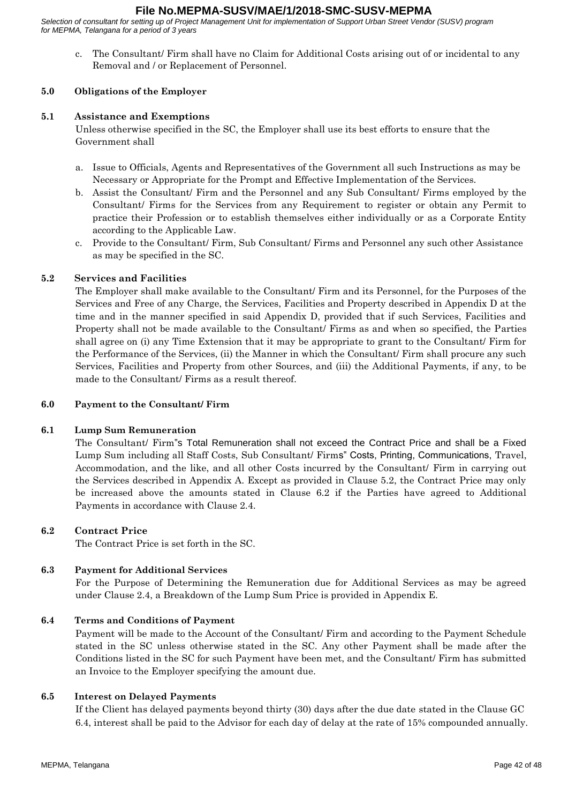*Selection of consultant for setting up of Project Management Unit for implementation of Support Urban Street Vendor (SUSV) program for MEPMA, Telangana for a period of 3 years*

c. The Consultant/ Firm shall have no Claim for Additional Costs arising out of or incidental to any Removal and / or Replacement of Personnel.

#### **5.0 Obligations of the Employer**

#### **5.1 Assistance and Exemptions**

Unless otherwise specified in the SC, the Employer shall use its best efforts to ensure that the Government shall

- a. Issue to Officials, Agents and Representatives of the Government all such Instructions as may be Necessary or Appropriate for the Prompt and Effective Implementation of the Services.
- b. Assist the Consultant/ Firm and the Personnel and any Sub Consultant/ Firms employed by the Consultant/ Firms for the Services from any Requirement to register or obtain any Permit to practice their Profession or to establish themselves either individually or as a Corporate Entity according to the Applicable Law.
- c. Provide to the Consultant/ Firm, Sub Consultant/ Firms and Personnel any such other Assistance as may be specified in the SC.

#### **5.2 Services and Facilities**

The Employer shall make available to the Consultant/ Firm and its Personnel, for the Purposes of the Services and Free of any Charge, the Services, Facilities and Property described in Appendix D at the time and in the manner specified in said Appendix D, provided that if such Services, Facilities and Property shall not be made available to the Consultant/ Firms as and when so specified, the Parties shall agree on (i) any Time Extension that it may be appropriate to grant to the Consultant/ Firm for the Performance of the Services, (ii) the Manner in which the Consultant/ Firm shall procure any such Services, Facilities and Property from other Sources, and (iii) the Additional Payments, if any, to be made to the Consultant/ Firms as a result thereof.

#### **6.0 Payment to the Consultant/ Firm**

#### **6.1 Lump Sum Remuneration**

The Consultant/ Firm"s Total Remuneration shall not exceed the Contract Price and shall be a Fixed Lump Sum including all Staff Costs, Sub Consultant/ Firms" Costs, Printing, Communications, Travel, Accommodation, and the like, and all other Costs incurred by the Consultant/ Firm in carrying out the Services described in Appendix A. Except as provided in Clause 5.2, the Contract Price may only be increased above the amounts stated in Clause 6.2 if the Parties have agreed to Additional Payments in accordance with Clause 2.4.

#### **6.2 Contract Price**

The Contract Price is set forth in the SC.

#### **6.3 Payment for Additional Services**

For the Purpose of Determining the Remuneration due for Additional Services as may be agreed under Clause 2.4, a Breakdown of the Lump Sum Price is provided in Appendix E.

#### **6.4 Terms and Conditions of Payment**

Payment will be made to the Account of the Consultant/ Firm and according to the Payment Schedule stated in the SC unless otherwise stated in the SC. Any other Payment shall be made after the Conditions listed in the SC for such Payment have been met, and the Consultant/ Firm has submitted an Invoice to the Employer specifying the amount due.

#### **6.5 Interest on Delayed Payments**

If the Client has delayed payments beyond thirty (30) days after the due date stated in the Clause GC 6.4, interest shall be paid to the Advisor for each day of delay at the rate of 15% compounded annually.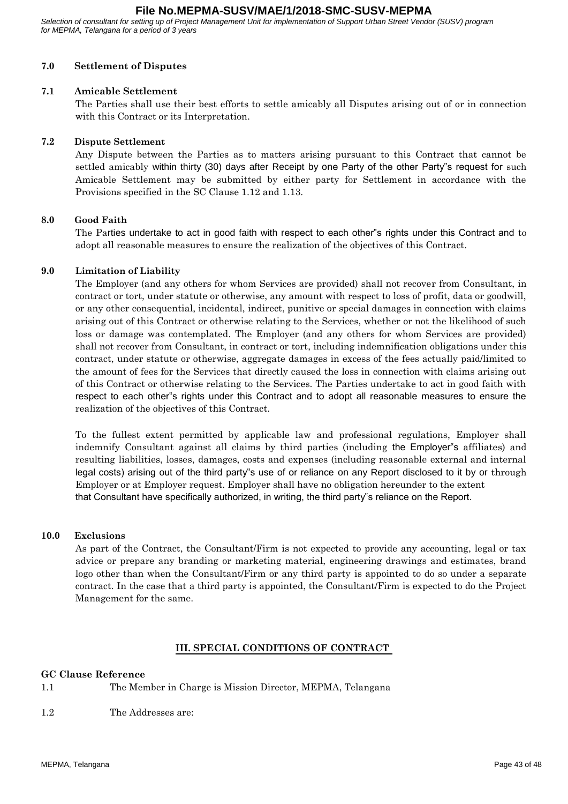*Selection of consultant for setting up of Project Management Unit for implementation of Support Urban Street Vendor (SUSV) program for MEPMA, Telangana for a period of 3 years*

## **7.0 Settlement of Disputes**

#### **7.1 Amicable Settlement**

The Parties shall use their best efforts to settle amicably all Disputes arising out of or in connection with this Contract or its Interpretation.

#### **7.2 Dispute Settlement**

Any Dispute between the Parties as to matters arising pursuant to this Contract that cannot be settled amicably within thirty (30) days after Receipt by one Party of the other Party"s request for such Amicable Settlement may be submitted by either party for Settlement in accordance with the Provisions specified in the SC Clause 1.12 and 1.13.

#### **8.0 Good Faith**

The Parties undertake to act in good faith with respect to each other"s rights under this Contract and to adopt all reasonable measures to ensure the realization of the objectives of this Contract.

#### **9.0 Limitation of Liability**

The Employer (and any others for whom Services are provided) shall not recover from Consultant, in contract or tort, under statute or otherwise, any amount with respect to loss of profit, data or goodwill, or any other consequential, incidental, indirect, punitive or special damages in connection with claims arising out of this Contract or otherwise relating to the Services, whether or not the likelihood of such loss or damage was contemplated. The Employer (and any others for whom Services are provided) shall not recover from Consultant, in contract or tort, including indemnification obligations under this contract, under statute or otherwise, aggregate damages in excess of the fees actually paid/limited to the amount of fees for the Services that directly caused the loss in connection with claims arising out of this Contract or otherwise relating to the Services. The Parties undertake to act in good faith with respect to each other"s rights under this Contract and to adopt all reasonable measures to ensure the realization of the objectives of this Contract.

To the fullest extent permitted by applicable law and professional regulations, Employer shall indemnify Consultant against all claims by third parties (including the Employer"s affiliates) and resulting liabilities, losses, damages, costs and expenses (including reasonable external and internal legal costs) arising out of the third party"s use of or reliance on any Report disclosed to it by or through Employer or at Employer request. Employer shall have no obligation hereunder to the extent that Consultant have specifically authorized, in writing, the third party"s reliance on the Report.

#### **10.0 Exclusions**

As part of the Contract, the Consultant/Firm is not expected to provide any accounting, legal or tax advice or prepare any branding or marketing material, engineering drawings and estimates, brand logo other than when the Consultant/Firm or any third party is appointed to do so under a separate contract. In the case that a third party is appointed, the Consultant/Firm is expected to do the Project Management for the same.

#### **III. SPECIAL CONDITIONS OF CONTRACT**

#### **GC Clause Reference**

- 1.1 The Member in Charge is Mission Director, MEPMA, Telangana
- 1.2 The Addresses are: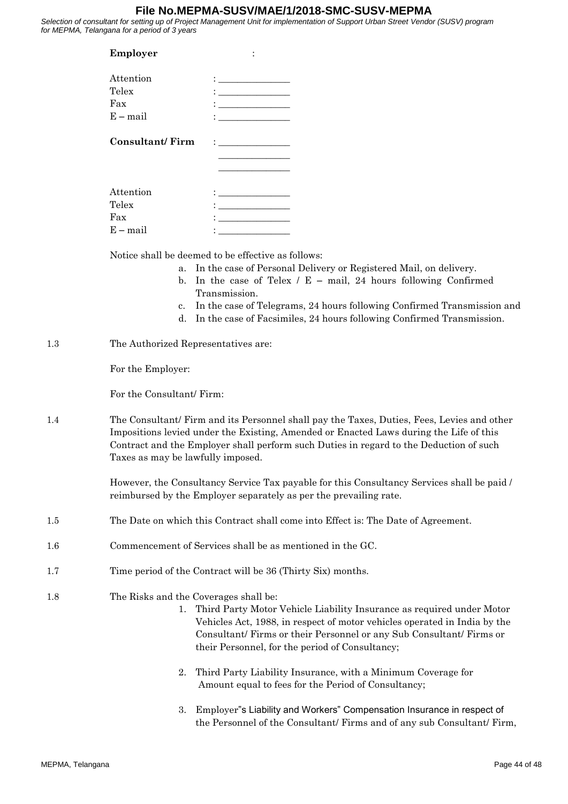*Selection of consultant for setting up of Project Management Unit for implementation of Support Urban Street Vendor (SUSV) program for MEPMA, Telangana for a period of 3 years*

| Employer               |                                                                                                                                                                                                                                                                                                                                                           |
|------------------------|-----------------------------------------------------------------------------------------------------------------------------------------------------------------------------------------------------------------------------------------------------------------------------------------------------------------------------------------------------------|
| Attention<br>Telex     | $\mathbf{1}$ , and the set of the set of the set of the set of the set of the set of the set of the set of the set of the set of the set of the set of the set of the set of the set of the set of the set of the set of the set<br><u> Liberal Maria de la contrada de la contrada de la contrada de la contrada de la contrada de la contrada de la</u> |
| Fax                    |                                                                                                                                                                                                                                                                                                                                                           |
| $E - mail$             |                                                                                                                                                                                                                                                                                                                                                           |
| <b>Consultant/Firm</b> | $\mathbf{1}$ and $\mathbf{1}$ and $\mathbf{1}$ and $\mathbf{1}$ and $\mathbf{1}$                                                                                                                                                                                                                                                                          |
| Attention              | $\mathbf{C}$ and $\mathbf{C}$ are all $\mathbf{C}$ and $\mathbf{C}$ and $\mathbf{C}$                                                                                                                                                                                                                                                                      |
| Telex                  |                                                                                                                                                                                                                                                                                                                                                           |
| Fax                    |                                                                                                                                                                                                                                                                                                                                                           |
| $E - mail$             |                                                                                                                                                                                                                                                                                                                                                           |

Notice shall be deemed to be effective as follows:

- a. In the case of Personal Delivery or Registered Mail, on delivery.
- b. In the case of Telex  $/ E$  mail, 24 hours following Confirmed Transmission.
- c. In the case of Telegrams, 24 hours following Confirmed Transmission and
- d. In the case of Facsimiles, 24 hours following Confirmed Transmission.
- 1.3 The Authorized Representatives are:

For the Employer:

For the Consultant/ Firm:

1.4 The Consultant/ Firm and its Personnel shall pay the Taxes, Duties, Fees, Levies and other Impositions levied under the Existing, Amended or Enacted Laws during the Life of this Contract and the Employer shall perform such Duties in regard to the Deduction of such Taxes as may be lawfully imposed.

> However, the Consultancy Service Tax payable for this Consultancy Services shall be paid / reimbursed by the Employer separately as per the prevailing rate.

- 1.5 The Date on which this Contract shall come into Effect is: The Date of Agreement.
- 1.6 Commencement of Services shall be as mentioned in the GC.
- 1.7 Time period of the Contract will be 36 (Thirty Six) months.
- 1.8 The Risks and the Coverages shall be:
	- 1. Third Party Motor Vehicle Liability Insurance as required under Motor Vehicles Act, 1988, in respect of motor vehicles operated in India by the Consultant/ Firms or their Personnel or any Sub Consultant/ Firms or their Personnel, for the period of Consultancy;
	- 2. Third Party Liability Insurance, with a Minimum Coverage for Amount equal to fees for the Period of Consultancy;
	- 3. Employer"s Liability and Workers" Compensation Insurance in respect of the Personnel of the Consultant/ Firms and of any sub Consultant/ Firm,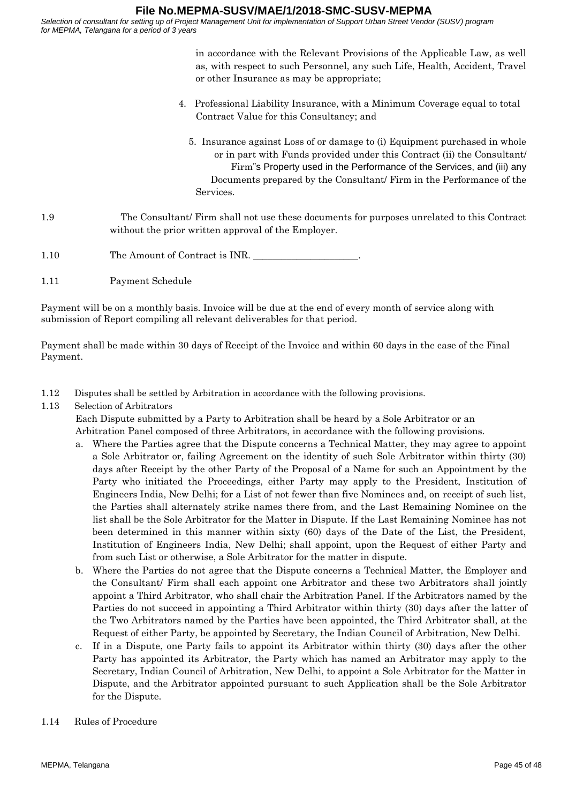*Selection of consultant for setting up of Project Management Unit for implementation of Support Urban Street Vendor (SUSV) program for MEPMA, Telangana for a period of 3 years*

> in accordance with the Relevant Provisions of the Applicable Law, as well as, with respect to such Personnel, any such Life, Health, Accident, Travel or other Insurance as may be appropriate;

- 4. Professional Liability Insurance, with a Minimum Coverage equal to total Contract Value for this Consultancy; and
	- 5. Insurance against Loss of or damage to (i) Equipment purchased in whole or in part with Funds provided under this Contract (ii) the Consultant/ Firm"s Property used in the Performance of the Services, and (iii) any Documents prepared by the Consultant/ Firm in the Performance of the Services.

# 1.9 The Consultant/ Firm shall not use these documents for purposes unrelated to this Contract without the prior written approval of the Employer.

- 1.10 The Amount of Contract is INR.
- 1.11 Payment Schedule

Payment will be on a monthly basis. Invoice will be due at the end of every month of service along with submission of Report compiling all relevant deliverables for that period.

Payment shall be made within 30 days of Receipt of the Invoice and within 60 days in the case of the Final Payment.

- 1.12 Disputes shall be settled by Arbitration in accordance with the following provisions.
- 1.13 Selection of Arbitrators

Each Dispute submitted by a Party to Arbitration shall be heard by a Sole Arbitrator or an Arbitration Panel composed of three Arbitrators, in accordance with the following provisions.

- a. Where the Parties agree that the Dispute concerns a Technical Matter, they may agree to appoint a Sole Arbitrator or, failing Agreement on the identity of such Sole Arbitrator within thirty (30) days after Receipt by the other Party of the Proposal of a Name for such an Appointment by the Party who initiated the Proceedings, either Party may apply to the President, Institution of Engineers India, New Delhi; for a List of not fewer than five Nominees and, on receipt of such list, the Parties shall alternately strike names there from, and the Last Remaining Nominee on the list shall be the Sole Arbitrator for the Matter in Dispute. If the Last Remaining Nominee has not been determined in this manner within sixty (60) days of the Date of the List, the President, Institution of Engineers India, New Delhi; shall appoint, upon the Request of either Party and from such List or otherwise, a Sole Arbitrator for the matter in dispute.
- b. Where the Parties do not agree that the Dispute concerns a Technical Matter, the Employer and the Consultant/ Firm shall each appoint one Arbitrator and these two Arbitrators shall jointly appoint a Third Arbitrator, who shall chair the Arbitration Panel. If the Arbitrators named by the Parties do not succeed in appointing a Third Arbitrator within thirty (30) days after the latter of the Two Arbitrators named by the Parties have been appointed, the Third Arbitrator shall, at the Request of either Party, be appointed by Secretary, the Indian Council of Arbitration, New Delhi.
- c. If in a Dispute, one Party fails to appoint its Arbitrator within thirty (30) days after the other Party has appointed its Arbitrator, the Party which has named an Arbitrator may apply to the Secretary, Indian Council of Arbitration, New Delhi, to appoint a Sole Arbitrator for the Matter in Dispute, and the Arbitrator appointed pursuant to such Application shall be the Sole Arbitrator for the Dispute.
- 1.14 Rules of Procedure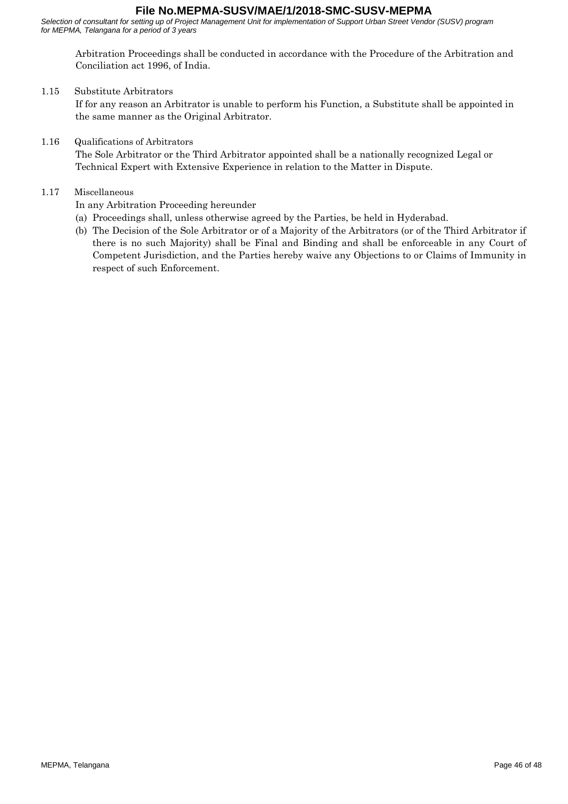*Selection of consultant for setting up of Project Management Unit for implementation of Support Urban Street Vendor (SUSV) program for MEPMA, Telangana for a period of 3 years*

Arbitration Proceedings shall be conducted in accordance with the Procedure of the Arbitration and Conciliation act 1996, of India.

#### 1.15 Substitute Arbitrators

If for any reason an Arbitrator is unable to perform his Function, a Substitute shall be appointed in the same manner as the Original Arbitrator.

#### 1.16 Qualifications of Arbitrators

The Sole Arbitrator or the Third Arbitrator appointed shall be a nationally recognized Legal or Technical Expert with Extensive Experience in relation to the Matter in Dispute.

#### 1.17 Miscellaneous

In any Arbitration Proceeding hereunder

- (a) Proceedings shall, unless otherwise agreed by the Parties, be held in Hyderabad.
- (b) The Decision of the Sole Arbitrator or of a Majority of the Arbitrators (or of the Third Arbitrator if there is no such Majority) shall be Final and Binding and shall be enforceable in any Court of Competent Jurisdiction, and the Parties hereby waive any Objections to or Claims of Immunity in respect of such Enforcement.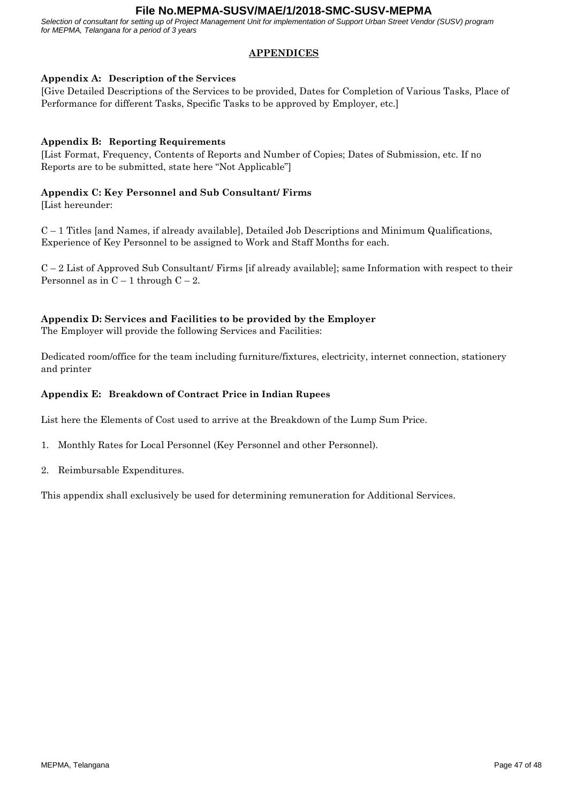*Selection of consultant for setting up of Project Management Unit for implementation of Support Urban Street Vendor (SUSV) program for MEPMA, Telangana for a period of 3 years*

# **APPENDICES**

## **Appendix A: Description of the Services**

[Give Detailed Descriptions of the Services to be provided, Dates for Completion of Various Tasks, Place of Performance for different Tasks, Specific Tasks to be approved by Employer, etc.]

# **Appendix B: Reporting Requirements**

[List Format, Frequency, Contents of Reports and Number of Copies; Dates of Submission, etc. If no Reports are to be submitted, state here "Not Applicable"]

## **Appendix C: Key Personnel and Sub Consultant/ Firms**

[List hereunder:

C – 1 Titles [and Names, if already available], Detailed Job Descriptions and Minimum Qualifications, Experience of Key Personnel to be assigned to Work and Staff Months for each.

 $C - 2$  List of Approved Sub Consultant/ Firms [if already available]; same Information with respect to their Personnel as in  $C - 1$  through  $C - 2$ .

# **Appendix D: Services and Facilities to be provided by the Employer**

The Employer will provide the following Services and Facilities:

Dedicated room/office for the team including furniture/fixtures, electricity, internet connection, stationery and printer

#### **Appendix E: Breakdown of Contract Price in Indian Rupees**

List here the Elements of Cost used to arrive at the Breakdown of the Lump Sum Price.

- 1. Monthly Rates for Local Personnel (Key Personnel and other Personnel).
- 2. Reimbursable Expenditures.

This appendix shall exclusively be used for determining remuneration for Additional Services.